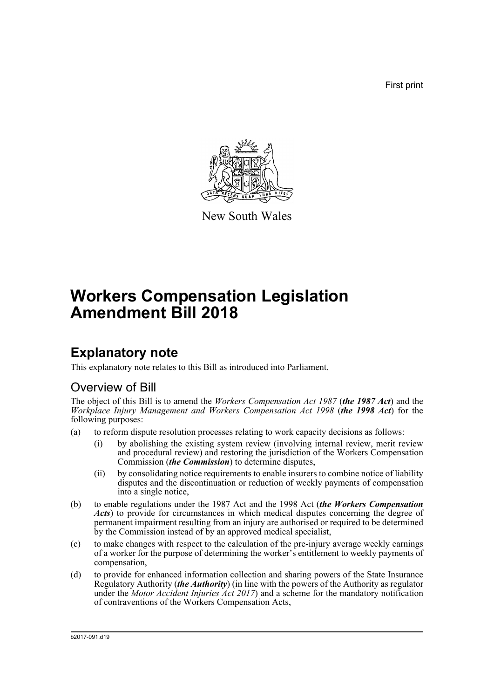First print



New South Wales

# **Workers Compensation Legislation Amendment Bill 2018**

# **Explanatory note**

This explanatory note relates to this Bill as introduced into Parliament.

## Overview of Bill

The object of this Bill is to amend the *Workers Compensation Act 1987* (*the 1987 Act*) and the *Workplace Injury Management and Workers Compensation Act 1998* (*the 1998 Act*) for the following purposes:

- (a) to reform dispute resolution processes relating to work capacity decisions as follows:
	- (i) by abolishing the existing system review (involving internal review, merit review and procedural review) and restoring the jurisdiction of the Workers Compensation Commission (*the Commission*) to determine disputes,
	- (ii) by consolidating notice requirements to enable insurers to combine notice of liability disputes and the discontinuation or reduction of weekly payments of compensation into a single notice,
- (b) to enable regulations under the 1987 Act and the 1998 Act (*the Workers Compensation Acts*) to provide for circumstances in which medical disputes concerning the degree of permanent impairment resulting from an injury are authorised or required to be determined by the Commission instead of by an approved medical specialist,
- (c) to make changes with respect to the calculation of the pre-injury average weekly earnings of a worker for the purpose of determining the worker's entitlement to weekly payments of compensation,
- (d) to provide for enhanced information collection and sharing powers of the State Insurance Regulatory Authority (*the Authority*) (in line with the powers of the Authority as regulator under the *Motor Accident Injuries Act 2017*) and a scheme for the mandatory notification of contraventions of the Workers Compensation Acts,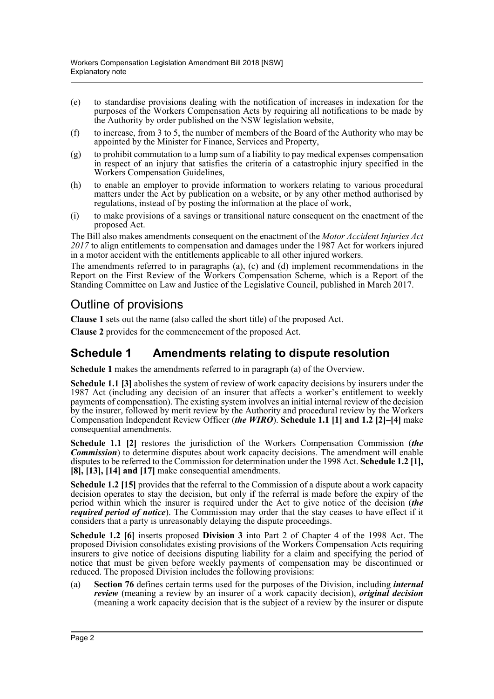- (e) to standardise provisions dealing with the notification of increases in indexation for the purposes of the Workers Compensation Acts by requiring all notifications to be made by the Authority by order published on the NSW legislation website,
- (f) to increase, from 3 to 5, the number of members of the Board of the Authority who may be appointed by the Minister for Finance, Services and Property,
- $(g)$  to prohibit commutation to a lump sum of a liability to pay medical expenses compensation in respect of an injury that satisfies the criteria of a catastrophic injury specified in the Workers Compensation Guidelines,
- (h) to enable an employer to provide information to workers relating to various procedural matters under the Act by publication on a website, or by any other method authorised by regulations, instead of by posting the information at the place of work,
- (i) to make provisions of a savings or transitional nature consequent on the enactment of the proposed Act.

The Bill also makes amendments consequent on the enactment of the *Motor Accident Injuries Act 2017* to align entitlements to compensation and damages under the 1987 Act for workers injured in a motor accident with the entitlements applicable to all other injured workers.

The amendments referred to in paragraphs (a), (c) and (d) implement recommendations in the Report on the First Review of the Workers Compensation Scheme, which is a Report of the Standing Committee on Law and Justice of the Legislative Council, published in March 2017.

## Outline of provisions

**Clause 1** sets out the name (also called the short title) of the proposed Act.

**Clause 2** provides for the commencement of the proposed Act.

### **Schedule 1 Amendments relating to dispute resolution**

**Schedule 1** makes the amendments referred to in paragraph (a) of the Overview.

**Schedule 1.1 [3]** abolishes the system of review of work capacity decisions by insurers under the 1987 Act (including any decision of an insurer that affects a worker's entitlement to weekly payments of compensation). The existing system involves an initial internal review of the decision by the insurer, followed by merit review by the Authority and procedural review by the Workers Compensation Independent Review Officer (*the WIRO*). **Schedule 1.1 [1] and 1.2 [2]–[4]** make consequential amendments.

**Schedule 1.1 [2]** restores the jurisdiction of the Workers Compensation Commission (*the Commission*) to determine disputes about work capacity decisions. The amendment will enable disputes to be referred to the Commission for determination under the 1998 Act. **Schedule 1.2 [1], [8], [13], [14] and [17]** make consequential amendments.

**Schedule 1.2 [15]** provides that the referral to the Commission of a dispute about a work capacity decision operates to stay the decision, but only if the referral is made before the expiry of the period within which the insurer is required under the Act to give notice of the decision (*the required period of notice*). The Commission may order that the stay ceases to have effect if it considers that a party is unreasonably delaying the dispute proceedings.

**Schedule 1.2 [6]** inserts proposed **Division 3** into Part 2 of Chapter 4 of the 1998 Act. The proposed Division consolidates existing provisions of the Workers Compensation Acts requiring insurers to give notice of decisions disputing liability for a claim and specifying the period of notice that must be given before weekly payments of compensation may be discontinued or reduced. The proposed Division includes the following provisions:

(a) **Section 76** defines certain terms used for the purposes of the Division, including *internal review* (meaning a review by an insurer of a work capacity decision), *original decision* (meaning a work capacity decision that is the subject of a review by the insurer or dispute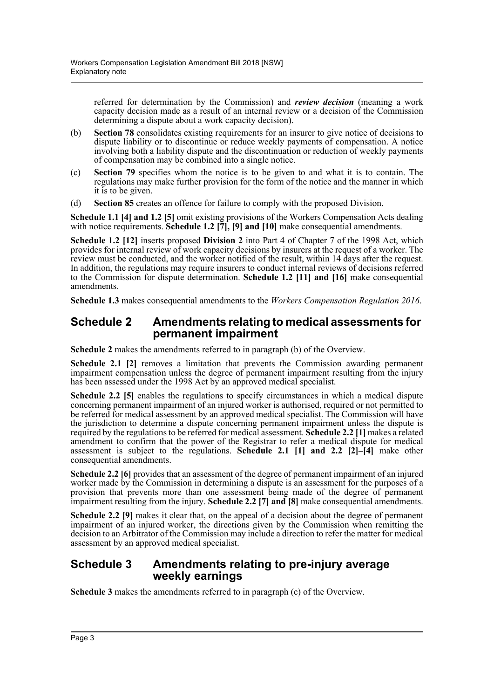referred for determination by the Commission) and *review decision* (meaning a work capacity decision made as a result of an internal review or a decision of the Commission determining a dispute about a work capacity decision).

- (b) **Section 78** consolidates existing requirements for an insurer to give notice of decisions to dispute liability or to discontinue or reduce weekly payments of compensation. A notice involving both a liability dispute and the discontinuation or reduction of weekly payments of compensation may be combined into a single notice.
- (c) **Section 79** specifies whom the notice is to be given to and what it is to contain. The regulations may make further provision for the form of the notice and the manner in which it is to be given.
- (d) **Section 85** creates an offence for failure to comply with the proposed Division.

**Schedule 1.1 [4] and 1.2 [5]** omit existing provisions of the Workers Compensation Acts dealing with notice requirements. **Schedule 1.2** [7], [9] and [10] make consequential amendments.

**Schedule 1.2 [12]** inserts proposed **Division 2** into Part 4 of Chapter 7 of the 1998 Act, which provides for internal review of work capacity decisions by insurers at the request of a worker. The review must be conducted, and the worker notified of the result, within 14 days after the request. In addition, the regulations may require insurers to conduct internal reviews of decisions referred to the Commission for dispute determination. **Schedule 1.2 [11] and [16]** make consequential amendments.

**Schedule 1.3** makes consequential amendments to the *Workers Compensation Regulation 2016*.

### **Schedule 2 Amendments relating to medical assessments for permanent impairment**

**Schedule 2** makes the amendments referred to in paragraph (b) of the Overview.

**Schedule 2.1 [2]** removes a limitation that prevents the Commission awarding permanent impairment compensation unless the degree of permanent impairment resulting from the injury has been assessed under the 1998 Act by an approved medical specialist.

**Schedule 2.2 [5]** enables the regulations to specify circumstances in which a medical dispute concerning permanent impairment of an injured worker is authorised, required or not permitted to be referred for medical assessment by an approved medical specialist. The Commission will have the jurisdiction to determine a dispute concerning permanent impairment unless the dispute is required by the regulations to be referred for medical assessment. **Schedule 2.2 [1]** makes a related amendment to confirm that the power of the Registrar to refer a medical dispute for medical assessment is subject to the regulations. **Schedule 2.1 [1] and 2.2 [2]–[4]** make other consequential amendments.

**Schedule 2.2 [6]** provides that an assessment of the degree of permanent impairment of an injured worker made by the Commission in determining a dispute is an assessment for the purposes of a provision that prevents more than one assessment being made of the degree of permanent impairment resulting from the injury. **Schedule 2.2 [7] and [8]** make consequential amendments.

**Schedule 2.2 [9]** makes it clear that, on the appeal of a decision about the degree of permanent impairment of an injured worker, the directions given by the Commission when remitting the decision to an Arbitrator of the Commission may include a direction to refer the matter for medical assessment by an approved medical specialist.

### **Schedule 3 Amendments relating to pre-injury average weekly earnings**

**Schedule 3** makes the amendments referred to in paragraph (c) of the Overview.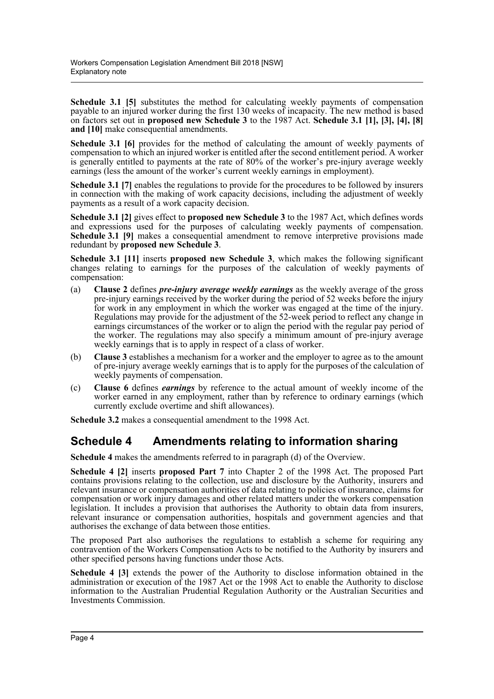**Schedule 3.1 [5]** substitutes the method for calculating weekly payments of compensation payable to an injured worker during the first 130 weeks of incapacity. The new method is based on factors set out in **proposed new Schedule 3** to the 1987 Act. **Schedule 3.1 [1], [3], [4], [8] and [10]** make consequential amendments.

**Schedule 3.1 [6]** provides for the method of calculating the amount of weekly payments of compensation to which an injured worker is entitled after the second entitlement period. A worker is generally entitled to payments at the rate of 80% of the worker's pre-injury average weekly earnings (less the amount of the worker's current weekly earnings in employment).

**Schedule 3.1** [7] enables the regulations to provide for the procedures to be followed by insurers in connection with the making of work capacity decisions, including the adjustment of weekly payments as a result of a work capacity decision.

**Schedule 3.1 [2]** gives effect to **proposed new Schedule 3** to the 1987 Act, which defines words and expressions used for the purposes of calculating weekly payments of compensation. **Schedule 3.1 [9]** makes a consequential amendment to remove interpretive provisions made redundant by **proposed new Schedule 3**.

**Schedule 3.1 [11]** inserts **proposed new Schedule 3**, which makes the following significant changes relating to earnings for the purposes of the calculation of weekly payments of compensation:

- (a) **Clause 2** defines *pre-injury average weekly earnings* as the weekly average of the gross pre-injury earnings received by the worker during the period of 52 weeks before the injury for work in any employment in which the worker was engaged at the time of the injury. Regulations may provide for the adjustment of the 52-week period to reflect any change in earnings circumstances of the worker or to align the period with the regular pay period of the worker. The regulations may also specify a minimum amount of pre-injury average weekly earnings that is to apply in respect of a class of worker.
- (b) **Clause 3** establishes a mechanism for a worker and the employer to agree as to the amount of pre-injury average weekly earnings that is to apply for the purposes of the calculation of weekly payments of compensation.
- (c) **Clause 6** defines *earnings* by reference to the actual amount of weekly income of the worker earned in any employment, rather than by reference to ordinary earnings (which currently exclude overtime and shift allowances).

**Schedule 3.2** makes a consequential amendment to the 1998 Act.

## **Schedule 4 Amendments relating to information sharing**

**Schedule 4** makes the amendments referred to in paragraph (d) of the Overview.

**Schedule 4 [2]** inserts **proposed Part 7** into Chapter 2 of the 1998 Act. The proposed Part contains provisions relating to the collection, use and disclosure by the Authority, insurers and relevant insurance or compensation authorities of data relating to policies of insurance, claims for compensation or work injury damages and other related matters under the workers compensation legislation. It includes a provision that authorises the Authority to obtain data from insurers, relevant insurance or compensation authorities, hospitals and government agencies and that authorises the exchange of data between those entities.

The proposed Part also authorises the regulations to establish a scheme for requiring any contravention of the Workers Compensation Acts to be notified to the Authority by insurers and other specified persons having functions under those Acts.

**Schedule 4 [3]** extends the power of the Authority to disclose information obtained in the administration or execution of the 1987 Act or the 1998 Act to enable the Authority to disclose information to the Australian Prudential Regulation Authority or the Australian Securities and Investments Commission.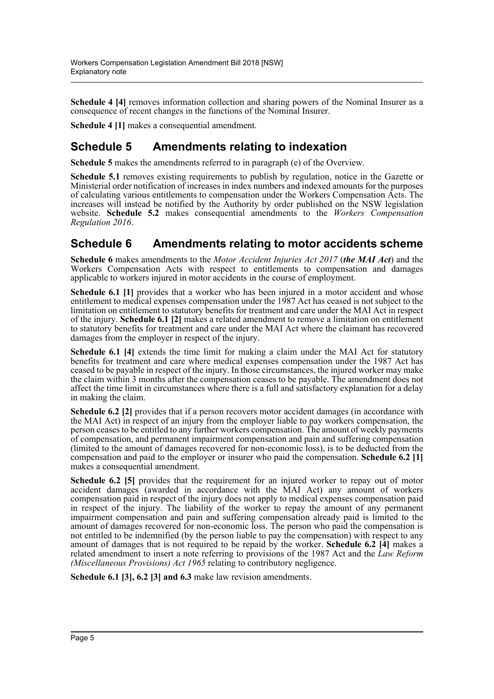**Schedule 4 [4]** removes information collection and sharing powers of the Nominal Insurer as a consequence of recent changes in the functions of the Nominal Insurer.

**Schedule 4 [1]** makes a consequential amendment.

## **Schedule 5 Amendments relating to indexation**

**Schedule 5** makes the amendments referred to in paragraph (e) of the Overview.

**Schedule 5.1** removes existing requirements to publish by regulation, notice in the Gazette or Ministerial order notification of increases in index numbers and indexed amounts for the purposes of calculating various entitlements to compensation under the Workers Compensation Acts. The increases will instead be notified by the Authority by order published on the NSW legislation website. **Schedule 5.2** makes consequential amendments to the *Workers Compensation Regulation 2016*.

### **Schedule 6 Amendments relating to motor accidents scheme**

**Schedule 6** makes amendments to the *Motor Accident Injuries Act 2017* (*the MAI Act*) and the Workers Compensation Acts with respect to entitlements to compensation and damages applicable to workers injured in motor accidents in the course of employment.

**Schedule 6.1 [1]** provides that a worker who has been injured in a motor accident and whose entitlement to medical expenses compensation under the 1987 Act has ceased is not subject to the limitation on entitlement to statutory benefits for treatment and care under the MAI Act in respect of the injury. **Schedule 6.1 [2]** makes a related amendment to remove a limitation on entitlement to statutory benefits for treatment and care under the MAI Act where the claimant has recovered damages from the employer in respect of the injury.

**Schedule 6.1 [4]** extends the time limit for making a claim under the MAI Act for statutory benefits for treatment and care where medical expenses compensation under the 1987 Act has ceased to be payable in respect of the injury. In those circumstances, the injured worker may make the claim within 3 months after the compensation ceases to be payable. The amendment does not affect the time limit in circumstances where there is a full and satisfactory explanation for a delay in making the claim.

**Schedule 6.2** [2] provides that if a person recovers motor accident damages (in accordance with the MAI Act) in respect of an injury from the employer liable to pay workers compensation, the person ceases to be entitled to any further workers compensation. The amount of weekly payments of compensation, and permanent impairment compensation and pain and suffering compensation (limited to the amount of damages recovered for non-economic loss), is to be deducted from the compensation and paid to the employer or insurer who paid the compensation. **Schedule 6.2 [1]** makes a consequential amendment.

**Schedule 6.2 [5]** provides that the requirement for an injured worker to repay out of motor accident damages (awarded in accordance with the MAI Act) any amount of workers compensation paid in respect of the injury does not apply to medical expenses compensation paid in respect of the injury. The liability of the worker to repay the amount of any permanent impairment compensation and pain and suffering compensation already paid is limited to the amount of damages recovered for non-economic loss. The person who paid the compensation is not entitled to be indemnified (by the person liable to pay the compensation) with respect to any amount of damages that is not required to be repaid by the worker. **Schedule 6.2 [4]** makes a related amendment to insert a note referring to provisions of the 1987 Act and the *Law Reform (Miscellaneous Provisions) Act 1965* relating to contributory negligence.

**Schedule 6.1 [3], 6.2 [3] and 6.3** make law revision amendments.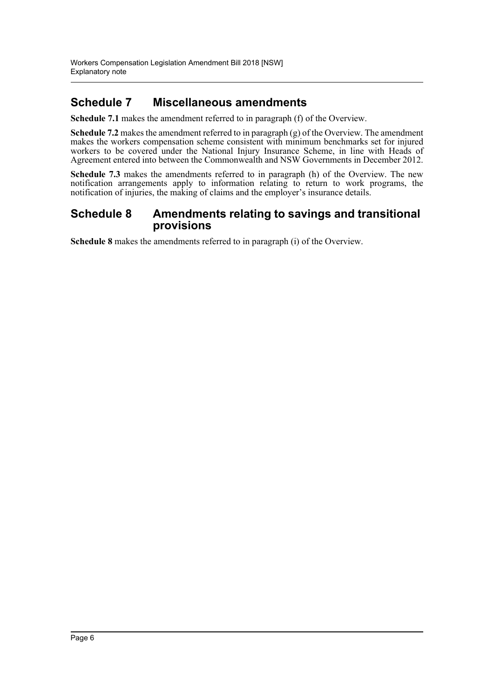## **Schedule 7 Miscellaneous amendments**

**Schedule 7.1** makes the amendment referred to in paragraph (f) of the Overview.

**Schedule 7.2** makes the amendment referred to in paragraph (g) of the Overview. The amendment makes the workers compensation scheme consistent with minimum benchmarks set for injured workers to be covered under the National Injury Insurance Scheme, in line with Heads of Agreement entered into between the Commonwealth and NSW Governments in December 2012.

**Schedule 7.3** makes the amendments referred to in paragraph (h) of the Overview. The new notification arrangements apply to information relating to return to work programs, the notification of injuries, the making of claims and the employer's insurance details.

### **Schedule 8 Amendments relating to savings and transitional provisions**

**Schedule 8** makes the amendments referred to in paragraph (i) of the Overview.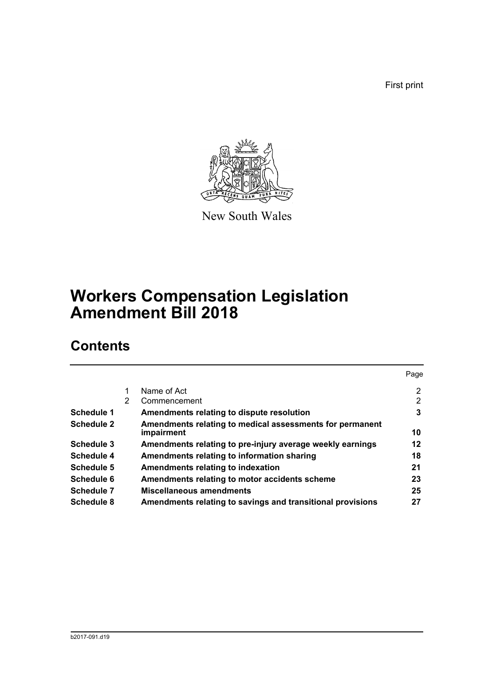First print



New South Wales

# **Workers Compensation Legislation Amendment Bill 2018**

# **Contents**

|                   |   |                                                            | Page           |
|-------------------|---|------------------------------------------------------------|----------------|
|                   |   | Name of Act                                                | $\overline{2}$ |
|                   | 2 | Commencement                                               | 2              |
| Schedule 1        |   | Amendments relating to dispute resolution                  | 3              |
| <b>Schedule 2</b> |   | Amendments relating to medical assessments for permanent   |                |
|                   |   | impairment                                                 | 10             |
| Schedule 3        |   | Amendments relating to pre-injury average weekly earnings  | 12             |
| Schedule 4        |   | Amendments relating to information sharing                 | 18             |
| Schedule 5        |   | Amendments relating to indexation                          | 21             |
| Schedule 6        |   | Amendments relating to motor accidents scheme              | 23             |
| Schedule 7        |   | Miscellaneous amendments                                   | 25             |
| Schedule 8        |   | Amendments relating to savings and transitional provisions | 27             |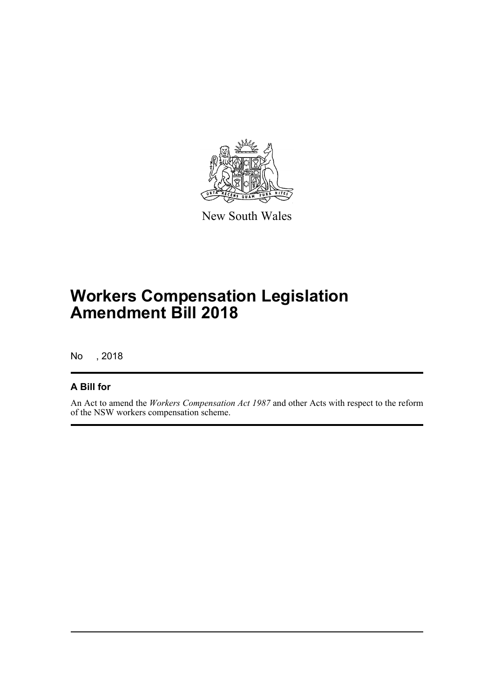

New South Wales

# **Workers Compensation Legislation Amendment Bill 2018**

No , 2018

### **A Bill for**

An Act to amend the *Workers Compensation Act 1987* and other Acts with respect to the reform of the NSW workers compensation scheme.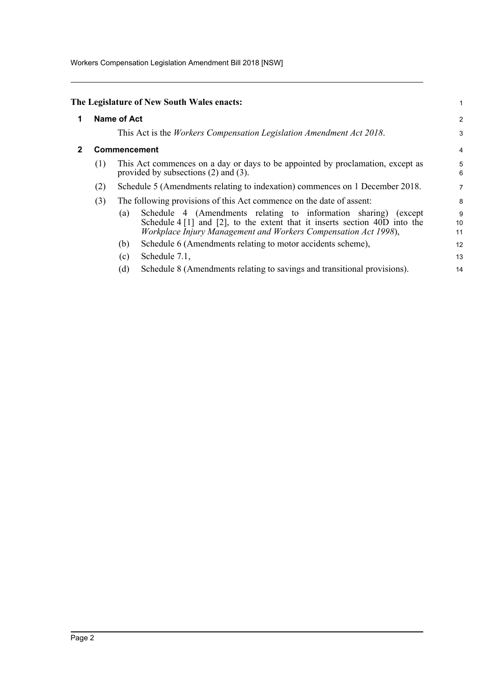Workers Compensation Legislation Amendment Bill 2018 [NSW]

<span id="page-8-1"></span><span id="page-8-0"></span>

|                         |     | The Legislature of New South Wales enacts:                                                                                                                                                                                                                                            | 1             |  |  |
|-------------------------|-----|---------------------------------------------------------------------------------------------------------------------------------------------------------------------------------------------------------------------------------------------------------------------------------------|---------------|--|--|
| <b>Name of Act</b><br>1 |     |                                                                                                                                                                                                                                                                                       |               |  |  |
|                         |     | This Act is the <i>Workers Compensation Legislation Amendment Act 2018</i> .                                                                                                                                                                                                          | 3             |  |  |
|                         |     | <b>Commencement</b>                                                                                                                                                                                                                                                                   |               |  |  |
|                         | (1) | This Act commences on a day or days to be appointed by proclamation, except as<br>provided by subsections $(2)$ and $(3)$ .                                                                                                                                                           | 5<br>6        |  |  |
|                         | (2) | Schedule 5 (Amendments relating to indexation) commences on 1 December 2018.                                                                                                                                                                                                          | 7             |  |  |
|                         | (3) | The following provisions of this Act commence on the date of assent:                                                                                                                                                                                                                  | 8             |  |  |
|                         |     | Schedule 4 (Amendments relating to information sharing) (except<br>(a)<br>Schedule $4\begin{bmatrix} 1 \end{bmatrix}$ and $\begin{bmatrix} 2 \end{bmatrix}$ , to the extent that it inserts section $40D$ into the<br>Workplace Injury Management and Workers Compensation Act 1998), | 9<br>10<br>11 |  |  |
|                         |     | Schedule 6 (Amendments relating to motor accidents scheme),<br>(b)                                                                                                                                                                                                                    | 12            |  |  |
|                         |     | Schedule 7.1,<br>(c)                                                                                                                                                                                                                                                                  | 13            |  |  |
|                         |     | Schedule 8 (Amendments relating to savings and transitional provisions).<br>(d)                                                                                                                                                                                                       | 14            |  |  |
|                         |     |                                                                                                                                                                                                                                                                                       |               |  |  |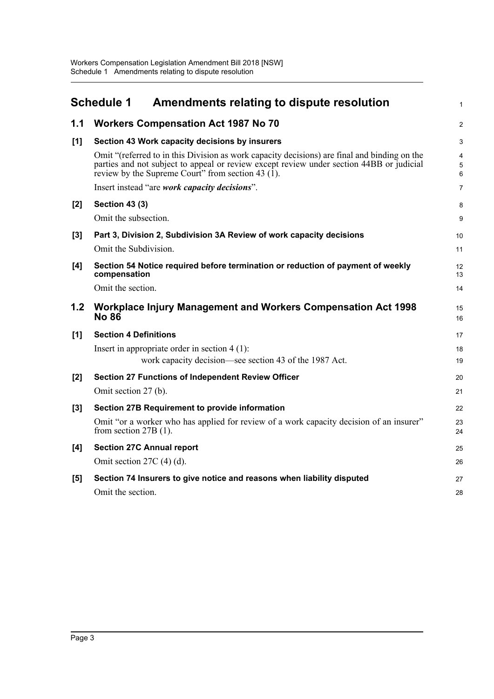<span id="page-9-0"></span>

|       | <b>Schedule 1</b><br>Amendments relating to dispute resolution                                                                                                                                                                                   | $\mathbf{1}$             |
|-------|--------------------------------------------------------------------------------------------------------------------------------------------------------------------------------------------------------------------------------------------------|--------------------------|
| 1.1   | <b>Workers Compensation Act 1987 No 70</b>                                                                                                                                                                                                       | $\overline{2}$           |
| [1]   | Section 43 Work capacity decisions by insurers                                                                                                                                                                                                   | 3                        |
|       | Omit "(referred to in this Division as work capacity decisions) are final and binding on the<br>parties and not subject to appeal or review except review under section 44BB or judicial<br>review by the Supreme Court" from section 43 $(1)$ . | $\overline{4}$<br>5<br>6 |
|       | Insert instead "are work capacity decisions".                                                                                                                                                                                                    | $\overline{7}$           |
| [2]   | <b>Section 43 (3)</b>                                                                                                                                                                                                                            | 8                        |
|       | Omit the subsection.                                                                                                                                                                                                                             | 9                        |
| $[3]$ | Part 3, Division 2, Subdivision 3A Review of work capacity decisions<br>Omit the Subdivision.                                                                                                                                                    | 10<br>11                 |
| [4]   | Section 54 Notice required before termination or reduction of payment of weekly<br>compensation                                                                                                                                                  | 12<br>13                 |
|       | Omit the section.                                                                                                                                                                                                                                | 14                       |
| 1.2   | Workplace Injury Management and Workers Compensation Act 1998<br><b>No 86</b>                                                                                                                                                                    | 15<br>16                 |
| [1]   | <b>Section 4 Definitions</b>                                                                                                                                                                                                                     | 17                       |
|       | Insert in appropriate order in section $4(1)$ :                                                                                                                                                                                                  | 18                       |
|       | work capacity decision—see section 43 of the 1987 Act.                                                                                                                                                                                           | 19                       |
| [2]   | <b>Section 27 Functions of Independent Review Officer</b>                                                                                                                                                                                        | 20                       |
|       | Omit section 27 (b).                                                                                                                                                                                                                             | 21                       |
| [3]   | <b>Section 27B Requirement to provide information</b>                                                                                                                                                                                            | 22                       |
|       | Omit "or a worker who has applied for review of a work capacity decision of an insurer"<br>from section $27B(1)$ .                                                                                                                               | 23<br>24                 |
| [4]   | <b>Section 27C Annual report</b>                                                                                                                                                                                                                 | 25                       |
|       | Omit section $27C(4)$ (d).                                                                                                                                                                                                                       | 26                       |
| $[5]$ | Section 74 Insurers to give notice and reasons when liability disputed                                                                                                                                                                           | 27                       |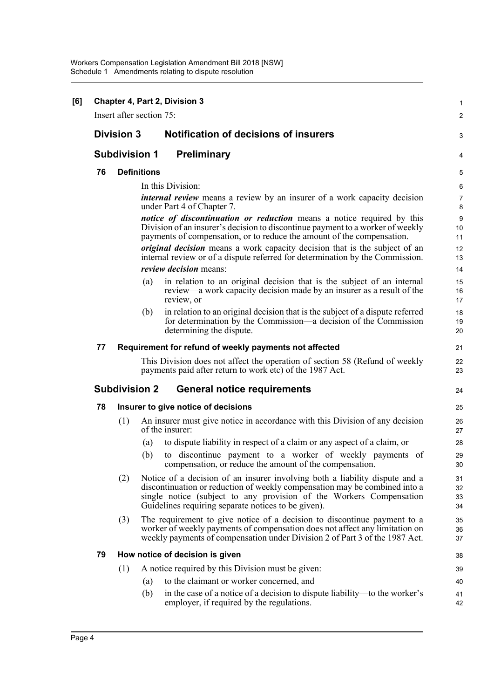| [6] | Chapter 4, Part 2, Division 3<br>Insert after section 75: |                      |                    |                                                                                                                                                                                                                                                                                         |                      |  |  |
|-----|-----------------------------------------------------------|----------------------|--------------------|-----------------------------------------------------------------------------------------------------------------------------------------------------------------------------------------------------------------------------------------------------------------------------------------|----------------------|--|--|
|     |                                                           |                      |                    |                                                                                                                                                                                                                                                                                         | 2                    |  |  |
|     |                                                           | <b>Division 3</b>    |                    | <b>Notification of decisions of insurers</b>                                                                                                                                                                                                                                            | 3                    |  |  |
|     |                                                           | <b>Subdivision 1</b> |                    | <b>Preliminary</b>                                                                                                                                                                                                                                                                      | 4                    |  |  |
|     | 76                                                        |                      | <b>Definitions</b> |                                                                                                                                                                                                                                                                                         | 5                    |  |  |
|     |                                                           |                      |                    | In this Division:                                                                                                                                                                                                                                                                       | 6                    |  |  |
|     |                                                           |                      |                    | <i>internal review</i> means a review by an insurer of a work capacity decision<br>under Part 4 of Chapter 7.                                                                                                                                                                           | 7<br>8               |  |  |
|     |                                                           |                      |                    | <i>notice of discontinuation or reduction</i> means a notice required by this<br>Division of an insurer's decision to discontinue payment to a worker of weekly<br>payments of compensation, or to reduce the amount of the compensation.                                               | 9<br>10<br>11        |  |  |
|     |                                                           |                      |                    | original decision means a work capacity decision that is the subject of an<br>internal review or of a dispute referred for determination by the Commission.<br><i>review decision</i> means:                                                                                            | 12<br>13<br>14       |  |  |
|     |                                                           |                      | (a)                | in relation to an original decision that is the subject of an internal                                                                                                                                                                                                                  | 15                   |  |  |
|     |                                                           |                      |                    | review—a work capacity decision made by an insurer as a result of the<br>review, or                                                                                                                                                                                                     | 16<br>17             |  |  |
|     |                                                           |                      | (b)                | in relation to an original decision that is the subject of a dispute referred<br>for determination by the Commission—a decision of the Commission<br>determining the dispute.                                                                                                           | 18<br>19<br>20       |  |  |
|     | 77                                                        |                      |                    | Requirement for refund of weekly payments not affected                                                                                                                                                                                                                                  | 21                   |  |  |
|     |                                                           |                      |                    | This Division does not affect the operation of section 58 (Refund of weekly<br>payments paid after return to work etc) of the 1987 Act.                                                                                                                                                 | 22<br>23             |  |  |
|     |                                                           | <b>Subdivision 2</b> |                    | <b>General notice requirements</b>                                                                                                                                                                                                                                                      | 24                   |  |  |
|     | 78                                                        |                      |                    | Insurer to give notice of decisions                                                                                                                                                                                                                                                     | 25                   |  |  |
|     |                                                           | (1)                  |                    | An insurer must give notice in accordance with this Division of any decision<br>of the insurer:                                                                                                                                                                                         | 26<br>27             |  |  |
|     |                                                           |                      | (a)                | to dispute liability in respect of a claim or any aspect of a claim, or                                                                                                                                                                                                                 | 28                   |  |  |
|     |                                                           |                      | (b)                | to discontinue payment to a worker of weekly payments of<br>compensation, or reduce the amount of the compensation.                                                                                                                                                                     | 29<br>30             |  |  |
|     |                                                           | (2)                  |                    | Notice of a decision of an insurer involving both a liability dispute and a<br>discontinuation or reduction of weekly compensation may be combined into a<br>single notice (subject to any provision of the Workers Compensation<br>Guidelines requiring separate notices to be given). | 31<br>32<br>33<br>34 |  |  |
|     |                                                           | (3)                  |                    | The requirement to give notice of a decision to discontinue payment to a<br>worker of weekly payments of compensation does not affect any limitation on<br>weekly payments of compensation under Division 2 of Part 3 of the 1987 Act.                                                  | 35<br>36<br>37       |  |  |
|     | 79                                                        |                      |                    | How notice of decision is given                                                                                                                                                                                                                                                         | 38                   |  |  |
|     |                                                           | (1)                  |                    | A notice required by this Division must be given:                                                                                                                                                                                                                                       | 39                   |  |  |
|     |                                                           |                      | (a)                | to the claimant or worker concerned, and                                                                                                                                                                                                                                                | 40                   |  |  |
|     |                                                           |                      | (b)                | in the case of a notice of a decision to dispute liability—to the worker's<br>employer, if required by the regulations.                                                                                                                                                                 | 41<br>42             |  |  |
|     |                                                           |                      |                    |                                                                                                                                                                                                                                                                                         |                      |  |  |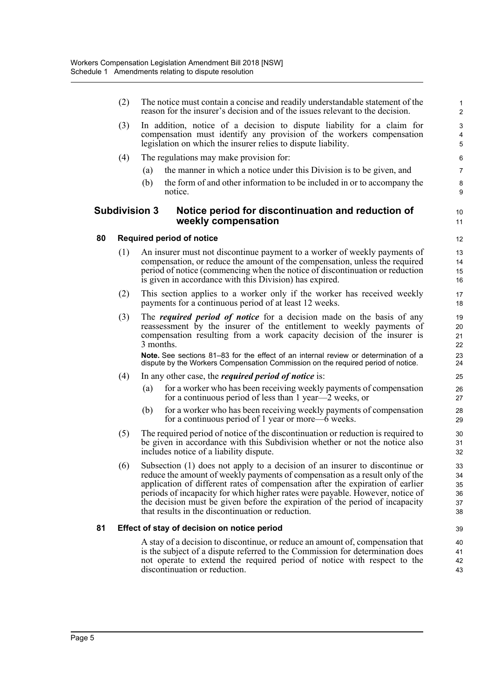|    | (2) |                      | The notice must contain a concise and readily understandable statement of the<br>reason for the insurer's decision and of the issues relevant to the decision.                                                                                                                                                                                                                                                                                                      | $\mathbf{1}$<br>$\overline{2}$      |
|----|-----|----------------------|---------------------------------------------------------------------------------------------------------------------------------------------------------------------------------------------------------------------------------------------------------------------------------------------------------------------------------------------------------------------------------------------------------------------------------------------------------------------|-------------------------------------|
|    | (3) |                      | In addition, notice of a decision to dispute liability for a claim for<br>compensation must identify any provision of the workers compensation<br>legislation on which the insurer relies to dispute liability.                                                                                                                                                                                                                                                     | $\mathbf{3}$<br>$\overline{4}$<br>5 |
|    | (4) |                      | The regulations may make provision for:                                                                                                                                                                                                                                                                                                                                                                                                                             | 6                                   |
|    |     | (a)                  | the manner in which a notice under this Division is to be given, and                                                                                                                                                                                                                                                                                                                                                                                                | $\overline{7}$                      |
|    |     | (b)                  | the form of and other information to be included in or to accompany the<br>notice.                                                                                                                                                                                                                                                                                                                                                                                  | 8<br>9                              |
|    |     | <b>Subdivision 3</b> | Notice period for discontinuation and reduction of<br>weekly compensation                                                                                                                                                                                                                                                                                                                                                                                           | 10<br>11                            |
| 80 |     |                      | <b>Required period of notice</b>                                                                                                                                                                                                                                                                                                                                                                                                                                    | 12                                  |
|    | (1) |                      | An insurer must not discontinue payment to a worker of weekly payments of<br>compensation, or reduce the amount of the compensation, unless the required<br>period of notice (commencing when the notice of discontinuation or reduction<br>is given in accordance with this Division) has expired.                                                                                                                                                                 | 13<br>14<br>15<br>16                |
|    | (2) |                      | This section applies to a worker only if the worker has received weekly<br>payments for a continuous period of at least 12 weeks.                                                                                                                                                                                                                                                                                                                                   | 17<br>18                            |
|    | (3) | 3 months.            | The <i>required period of notice</i> for a decision made on the basis of any<br>reassessment by the insurer of the entitlement to weekly payments of<br>compensation resulting from a work capacity decision of the insurer is<br>Note. See sections 81–83 for the effect of an internal review or determination of a                                                                                                                                               | 19<br>20<br>21<br>22<br>23          |
|    |     |                      | dispute by the Workers Compensation Commission on the required period of notice.                                                                                                                                                                                                                                                                                                                                                                                    | 24                                  |
|    | (4) | (a)                  | In any other case, the <i>required period of notice</i> is:<br>for a worker who has been receiving weekly payments of compensation<br>for a continuous period of less than 1 year—2 weeks, or                                                                                                                                                                                                                                                                       | 25<br>26<br>27                      |
|    |     | (b)                  | for a worker who has been receiving weekly payments of compensation<br>for a continuous period of 1 year or more—6 weeks.                                                                                                                                                                                                                                                                                                                                           | 28<br>29                            |
|    | (5) |                      | The required period of notice of the discontinuation or reduction is required to<br>be given in accordance with this Subdivision whether or not the notice also<br>includes notice of a liability dispute.                                                                                                                                                                                                                                                          | 30<br>31<br>32                      |
|    | (6) |                      | Subsection (1) does not apply to a decision of an insurer to discontinue or<br>reduce the amount of weekly payments of compensation as a result only of the<br>application of different rates of compensation after the expiration of earlier<br>periods of incapacity for which higher rates were payable. However, notice of<br>the decision must be given before the expiration of the period of incapacity<br>that results in the discontinuation or reduction. | 33<br>34<br>35<br>36<br>37<br>38    |
| 81 |     |                      | Effect of stay of decision on notice period                                                                                                                                                                                                                                                                                                                                                                                                                         | 39                                  |
|    |     |                      | A stay of a decision to discontinue, or reduce an amount of, compensation that<br>is the subject of a dispute referred to the Commission for determination does<br>not operate to extend the required period of notice with respect to the<br>discontinuation or reduction.                                                                                                                                                                                         | 40<br>41<br>42<br>43                |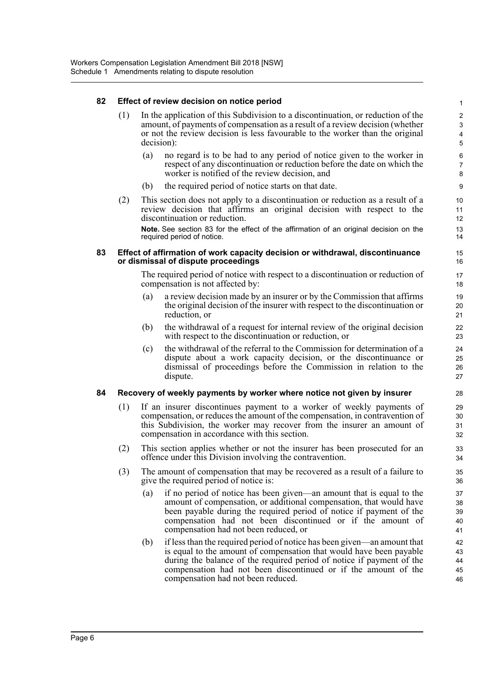#### **82 Effect of review decision on notice period**

- (1) In the application of this Subdivision to a discontinuation, or reduction of the amount, of payments of compensation as a result of a review decision (whether or not the review decision is less favourable to the worker than the original decision):
	- (a) no regard is to be had to any period of notice given to the worker in respect of any discontinuation or reduction before the date on which the worker is notified of the review decision, and

- (b) the required period of notice starts on that date.
- (2) This section does not apply to a discontinuation or reduction as a result of a review decision that affirms an original decision with respect to the discontinuation or reduction. **Note.** See section 83 for the effect of the affirmation of an original decision on the required period of notice.

#### **83 Effect of affirmation of work capacity decision or withdrawal, discontinuance or dismissal of dispute proceedings**

The required period of notice with respect to a discontinuation or reduction of compensation is not affected by:

- (a) a review decision made by an insurer or by the Commission that affirms the original decision of the insurer with respect to the discontinuation or reduction, or
- (b) the withdrawal of a request for internal review of the original decision with respect to the discontinuation or reduction, or
- (c) the withdrawal of the referral to the Commission for determination of a dispute about a work capacity decision, or the discontinuance or dismissal of proceedings before the Commission in relation to the dispute.

#### **84 Recovery of weekly payments by worker where notice not given by insurer**

- (1) If an insurer discontinues payment to a worker of weekly payments of compensation, or reduces the amount of the compensation, in contravention of this Subdivision, the worker may recover from the insurer an amount of compensation in accordance with this section.
- (2) This section applies whether or not the insurer has been prosecuted for an offence under this Division involving the contravention.
- (3) The amount of compensation that may be recovered as a result of a failure to give the required period of notice is:
	- (a) if no period of notice has been given—an amount that is equal to the amount of compensation, or additional compensation, that would have been payable during the required period of notice if payment of the compensation had not been discontinued or if the amount of compensation had not been reduced, or
	- (b) if less than the required period of notice has been given—an amount that is equal to the amount of compensation that would have been payable during the balance of the required period of notice if payment of the compensation had not been discontinued or if the amount of the compensation had not been reduced.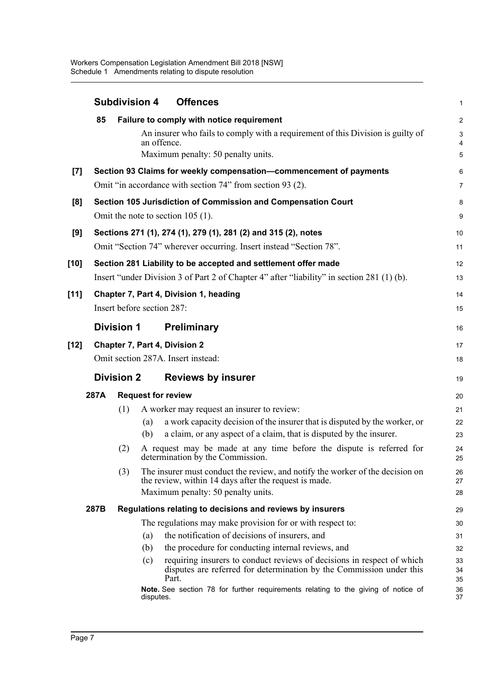|                     |                                                                                                                                      | <b>Subdivision 4</b> |                            | <b>Offences</b>                                                                                                                                                              | $\mathbf{1}$                                         |
|---------------------|--------------------------------------------------------------------------------------------------------------------------------------|----------------------|----------------------------|------------------------------------------------------------------------------------------------------------------------------------------------------------------------------|------------------------------------------------------|
|                     | 85                                                                                                                                   |                      | an offence.                | Failure to comply with notice requirement<br>An insurer who fails to comply with a requirement of this Division is guilty of<br>Maximum penalty: 50 penalty units.           | $\overline{c}$<br>$\mathsf 3$<br>$\overline{4}$<br>5 |
| $\lbrack 7 \rbrack$ |                                                                                                                                      |                      |                            | Section 93 Claims for weekly compensation-commencement of payments                                                                                                           | 6                                                    |
|                     |                                                                                                                                      |                      |                            | Omit "in accordance with section 74" from section 93 (2).                                                                                                                    | $\overline{7}$                                       |
| [8]                 |                                                                                                                                      |                      |                            | Section 105 Jurisdiction of Commission and Compensation Court                                                                                                                | 8                                                    |
|                     |                                                                                                                                      |                      |                            | Omit the note to section $105$ (1).                                                                                                                                          | 9                                                    |
| [9]                 | Sections 271 (1), 274 (1), 279 (1), 281 (2) and 315 (2), notes<br>Omit "Section 74" wherever occurring. Insert instead "Section 78". |                      |                            |                                                                                                                                                                              | 10<br>11                                             |
| [10]                |                                                                                                                                      |                      |                            | Section 281 Liability to be accepted and settlement offer made                                                                                                               | 12                                                   |
|                     |                                                                                                                                      |                      |                            | Insert "under Division 3 of Part 2 of Chapter 4" after "liability" in section 281 (1) (b).                                                                                   | 13                                                   |
| $[11]$              |                                                                                                                                      |                      |                            | Chapter 7, Part 4, Division 1, heading                                                                                                                                       | 14                                                   |
|                     |                                                                                                                                      |                      | Insert before section 287: |                                                                                                                                                                              | 15                                                   |
|                     |                                                                                                                                      | <b>Division 1</b>    |                            | <b>Preliminary</b>                                                                                                                                                           | 16                                                   |
| [12]                |                                                                                                                                      |                      |                            | <b>Chapter 7, Part 4, Division 2</b>                                                                                                                                         | 17                                                   |
|                     |                                                                                                                                      |                      |                            | Omit section 287A. Insert instead:                                                                                                                                           | 18                                                   |
|                     |                                                                                                                                      | <b>Division 2</b>    |                            | <b>Reviews by insurer</b>                                                                                                                                                    | 19                                                   |
|                     | 287A                                                                                                                                 |                      |                            | <b>Request for review</b>                                                                                                                                                    | 20                                                   |
|                     |                                                                                                                                      | (1)                  |                            | A worker may request an insurer to review:                                                                                                                                   | 21                                                   |
|                     |                                                                                                                                      |                      | (a)<br>(b)                 | a work capacity decision of the insurer that is disputed by the worker, or<br>a claim, or any aspect of a claim, that is disputed by the insurer.                            | 22<br>23                                             |
|                     |                                                                                                                                      | (2)                  |                            | A request may be made at any time before the dispute is referred for<br>determination by the Commission.                                                                     | 24<br>25                                             |
|                     |                                                                                                                                      | (3)                  |                            | The insurer must conduct the review, and notify the worker of the decision on<br>the review, within 14 days after the request is made.<br>Maximum penalty: 50 penalty units. | 26<br>27<br>28                                       |
|                     | 287B                                                                                                                                 |                      |                            | Regulations relating to decisions and reviews by insurers                                                                                                                    | 29                                                   |
|                     |                                                                                                                                      |                      |                            | The regulations may make provision for or with respect to:                                                                                                                   | 30                                                   |
|                     |                                                                                                                                      |                      | (a)                        | the notification of decisions of insurers, and                                                                                                                               | 31                                                   |
|                     |                                                                                                                                      |                      | (b)                        | the procedure for conducting internal reviews, and                                                                                                                           | 32                                                   |
|                     |                                                                                                                                      |                      | (c)                        | requiring insurers to conduct reviews of decisions in respect of which<br>disputes are referred for determination by the Commission under this<br>Part.                      | 33<br>34<br>35                                       |
|                     |                                                                                                                                      |                      | disputes.                  | Note. See section 78 for further requirements relating to the giving of notice of                                                                                            | 36<br>37                                             |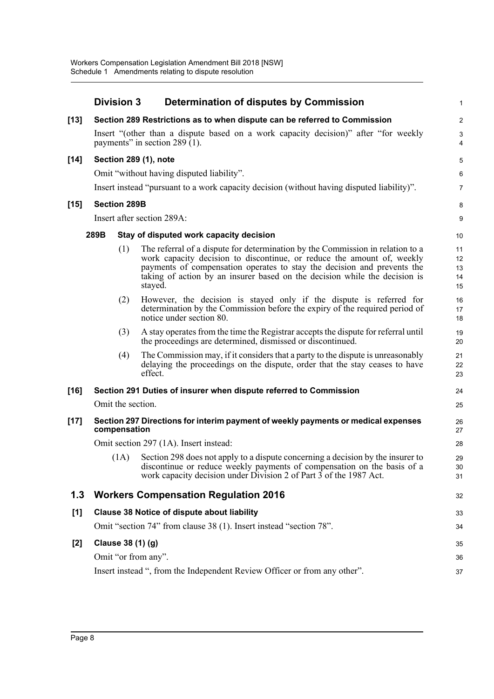|        | <b>Division 3</b>                               |                            | Determination of disputes by Commission                                                                                                                                                                                                                                                                                      | 1                          |  |  |  |  |
|--------|-------------------------------------------------|----------------------------|------------------------------------------------------------------------------------------------------------------------------------------------------------------------------------------------------------------------------------------------------------------------------------------------------------------------------|----------------------------|--|--|--|--|
| $[13]$ |                                                 |                            | Section 289 Restrictions as to when dispute can be referred to Commission                                                                                                                                                                                                                                                    | $\overline{c}$             |  |  |  |  |
|        |                                                 |                            | Insert "(other than a dispute based on a work capacity decision)" after "for weekly<br>payments" in section 289 $\bar{1}$ ).                                                                                                                                                                                                 | 3<br>4                     |  |  |  |  |
| $[14]$ |                                                 |                            | Section 289 (1), note                                                                                                                                                                                                                                                                                                        | 5                          |  |  |  |  |
|        |                                                 |                            | Omit "without having disputed liability".                                                                                                                                                                                                                                                                                    | 6                          |  |  |  |  |
|        |                                                 |                            | Insert instead "pursuant to a work capacity decision (without having disputed liability)".                                                                                                                                                                                                                                   | 7                          |  |  |  |  |
| $[15]$ | <b>Section 289B</b>                             |                            |                                                                                                                                                                                                                                                                                                                              | 8                          |  |  |  |  |
|        |                                                 | Insert after section 289A: |                                                                                                                                                                                                                                                                                                                              |                            |  |  |  |  |
|        | 289B<br>Stay of disputed work capacity decision |                            |                                                                                                                                                                                                                                                                                                                              |                            |  |  |  |  |
|        |                                                 | (1)                        | The referral of a dispute for determination by the Commission in relation to a<br>work capacity decision to discontinue, or reduce the amount of, weekly<br>payments of compensation operates to stay the decision and prevents the<br>taking of action by an insurer based on the decision while the decision is<br>stayed. | 11<br>12<br>13<br>14<br>15 |  |  |  |  |
|        |                                                 | (2)                        | However, the decision is stayed only if the dispute is referred for<br>determination by the Commission before the expiry of the required period of<br>notice under section 80.                                                                                                                                               | 16<br>17<br>18             |  |  |  |  |
|        |                                                 | (3)                        | A stay operates from the time the Registrar accepts the dispute for referral until<br>the proceedings are determined, dismissed or discontinued.                                                                                                                                                                             | 19<br>20                   |  |  |  |  |
|        |                                                 | (4)                        | The Commission may, if it considers that a party to the dispute is unreasonably<br>delaying the proceedings on the dispute, order that the stay ceases to have<br>effect.                                                                                                                                                    | 21<br>22<br>23             |  |  |  |  |
| $[16]$ |                                                 |                            | Section 291 Duties of insurer when dispute referred to Commission                                                                                                                                                                                                                                                            | 24                         |  |  |  |  |
|        | Omit the section.                               |                            |                                                                                                                                                                                                                                                                                                                              | 25                         |  |  |  |  |
| $[17]$ | compensation                                    |                            | Section 297 Directions for interim payment of weekly payments or medical expenses                                                                                                                                                                                                                                            | 26<br>27                   |  |  |  |  |
|        |                                                 |                            | Omit section 297 (1A). Insert instead:                                                                                                                                                                                                                                                                                       | 28                         |  |  |  |  |
|        |                                                 | (1A)                       | Section 298 does not apply to a dispute concerning a decision by the insurer to<br>discontinue or reduce weekly payments of compensation on the basis of a<br>work capacity decision under Division 2 of Part 3 of the 1987 Act.                                                                                             | 29<br>30<br>31             |  |  |  |  |
| 1.3    |                                                 |                            | <b>Workers Compensation Regulation 2016</b>                                                                                                                                                                                                                                                                                  | 32                         |  |  |  |  |
| [1]    |                                                 |                            | <b>Clause 38 Notice of dispute about liability</b><br>Omit "section 74" from clause 38 (1). Insert instead "section 78".                                                                                                                                                                                                     | 33<br>34                   |  |  |  |  |
| $[2]$  | Clause 38 (1) (g)                               |                            |                                                                                                                                                                                                                                                                                                                              | 35                         |  |  |  |  |
|        |                                                 |                            | Omit "or from any".                                                                                                                                                                                                                                                                                                          | 36                         |  |  |  |  |
|        |                                                 |                            | Insert instead ", from the Independent Review Officer or from any other".                                                                                                                                                                                                                                                    | 37                         |  |  |  |  |
|        |                                                 |                            |                                                                                                                                                                                                                                                                                                                              |                            |  |  |  |  |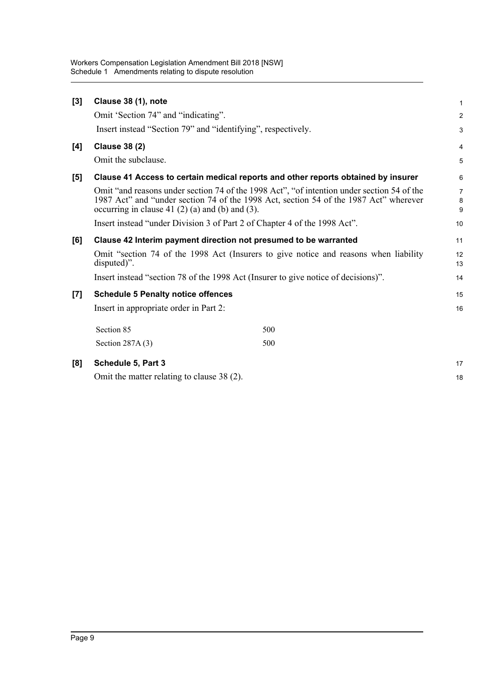| [3]   | Clause 38 (1), note                                                                |                                                                                                                                                                                     | 1                        |  |  |  |
|-------|------------------------------------------------------------------------------------|-------------------------------------------------------------------------------------------------------------------------------------------------------------------------------------|--------------------------|--|--|--|
|       | Omit 'Section 74" and "indicating".                                                |                                                                                                                                                                                     | $\overline{2}$           |  |  |  |
|       | Insert instead "Section 79" and "identifying", respectively.                       |                                                                                                                                                                                     | 3                        |  |  |  |
| [4]   | <b>Clause 38 (2)</b>                                                               |                                                                                                                                                                                     | 4                        |  |  |  |
|       | Omit the subclause.                                                                |                                                                                                                                                                                     | 5                        |  |  |  |
| [5]   |                                                                                    | Clause 41 Access to certain medical reports and other reports obtained by insurer                                                                                                   | 6                        |  |  |  |
|       | occurring in clause 41 $(2)$ $(a)$ and $(b)$ and $(3)$ .                           | Omit "and reasons under section 74 of the 1998 Act", "of intention under section 54 of the<br>1987 Act" and "under section 74 of the 1998 Act, section 54 of the 1987 Act" wherever | $\overline{7}$<br>8<br>9 |  |  |  |
|       | Insert instead "under Division 3 of Part 2 of Chapter 4 of the 1998 Act".          |                                                                                                                                                                                     |                          |  |  |  |
| [6]   |                                                                                    | Clause 42 Interim payment direction not presumed to be warranted                                                                                                                    | 11                       |  |  |  |
|       | disputed)".                                                                        | Omit "section 74 of the 1998 Act (Insurers to give notice and reasons when liability                                                                                                | 12<br>13                 |  |  |  |
|       | Insert instead "section 78 of the 1998 Act (Insurer to give notice of decisions)". |                                                                                                                                                                                     |                          |  |  |  |
| $[7]$ | <b>Schedule 5 Penalty notice offences</b>                                          |                                                                                                                                                                                     | 15                       |  |  |  |
|       | Insert in appropriate order in Part 2:                                             |                                                                                                                                                                                     | 16                       |  |  |  |
|       | Section 85                                                                         | 500                                                                                                                                                                                 |                          |  |  |  |
|       | Section $287A(3)$                                                                  | 500                                                                                                                                                                                 |                          |  |  |  |
| [8]   | Schedule 5, Part 3                                                                 |                                                                                                                                                                                     | 17                       |  |  |  |
|       | Omit the matter relating to clause 38 (2).                                         |                                                                                                                                                                                     |                          |  |  |  |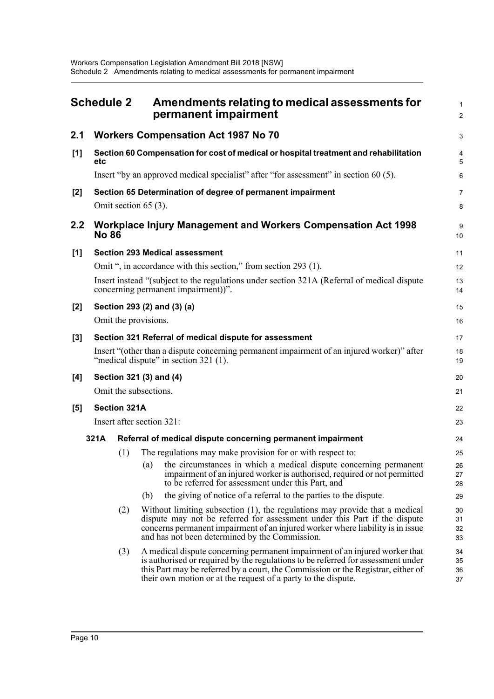<span id="page-16-0"></span>

|                                    | <b>Schedule 2</b>                                                             |                           |     | Amendments relating to medical assessments for<br>permanent impairment                                                                                                                                                                                                                                               | 1<br>$\overline{2}$  |
|------------------------------------|-------------------------------------------------------------------------------|---------------------------|-----|----------------------------------------------------------------------------------------------------------------------------------------------------------------------------------------------------------------------------------------------------------------------------------------------------------------------|----------------------|
| 2.1                                |                                                                               |                           |     | <b>Workers Compensation Act 1987 No 70</b>                                                                                                                                                                                                                                                                           | 3                    |
| [1]                                | etc                                                                           |                           |     | Section 60 Compensation for cost of medical or hospital treatment and rehabilitation                                                                                                                                                                                                                                 | 4<br>5               |
|                                    |                                                                               |                           |     | Insert "by an approved medical specialist" after "for assessment" in section 60 (5).                                                                                                                                                                                                                                 | $6\phantom{1}6$      |
| [2]                                |                                                                               |                           |     | Section 65 Determination of degree of permanent impairment                                                                                                                                                                                                                                                           | 7                    |
|                                    |                                                                               | Omit section 65 (3).      |     |                                                                                                                                                                                                                                                                                                                      | 8                    |
| $2.2\,$                            | Workplace Injury Management and Workers Compensation Act 1998<br><b>No 86</b> |                           |     |                                                                                                                                                                                                                                                                                                                      |                      |
| [1]                                |                                                                               |                           |     | <b>Section 293 Medical assessment</b>                                                                                                                                                                                                                                                                                | 11                   |
|                                    |                                                                               |                           |     | Omit ", in accordance with this section," from section 293 (1).                                                                                                                                                                                                                                                      | 12                   |
|                                    |                                                                               |                           |     | Insert instead "(subject to the regulations under section 321A (Referral of medical dispute<br>concerning permanent impairment))".                                                                                                                                                                                   | 13<br>14             |
| Section 293 (2) and (3) (a)<br>[2] |                                                                               |                           | 15  |                                                                                                                                                                                                                                                                                                                      |                      |
|                                    |                                                                               | Omit the provisions.      |     |                                                                                                                                                                                                                                                                                                                      | 16                   |
| [3]                                |                                                                               |                           |     | Section 321 Referral of medical dispute for assessment                                                                                                                                                                                                                                                               | 17                   |
|                                    |                                                                               |                           |     | Insert "(other than a dispute concerning permanent impairment of an injured worker)" after<br>"medical dispute" in section 321 (1).                                                                                                                                                                                  | 18<br>19             |
| [4]                                |                                                                               | Section 321 (3) and (4)   |     |                                                                                                                                                                                                                                                                                                                      | 20                   |
|                                    |                                                                               | Omit the subsections.     |     |                                                                                                                                                                                                                                                                                                                      | 21                   |
| [5]                                |                                                                               | <b>Section 321A</b>       |     |                                                                                                                                                                                                                                                                                                                      | 22                   |
|                                    |                                                                               | Insert after section 321: |     |                                                                                                                                                                                                                                                                                                                      | 23                   |
|                                    | 321A                                                                          |                           |     | Referral of medical dispute concerning permanent impairment                                                                                                                                                                                                                                                          | 24                   |
|                                    |                                                                               | (1)                       |     | The regulations may make provision for or with respect to:                                                                                                                                                                                                                                                           | 25                   |
|                                    |                                                                               |                           |     | (a) the circumstances in which a medical dispute concerning permanent<br>impairment of an injured worker is authorised, required or not permitted<br>to be referred for assessment under this Part, and                                                                                                              | 26<br>27<br>28       |
|                                    |                                                                               |                           | (b) | the giving of notice of a referral to the parties to the dispute.                                                                                                                                                                                                                                                    | 29                   |
|                                    |                                                                               | (2)                       |     | Without limiting subsection (1), the regulations may provide that a medical<br>dispute may not be referred for assessment under this Part if the dispute<br>concerns permanent impairment of an injured worker where liability is in issue<br>and has not been determined by the Commission.                         | 30<br>31<br>32<br>33 |
|                                    |                                                                               | (3)                       |     | A medical dispute concerning permanent impairment of an injured worker that<br>is authorised or required by the regulations to be referred for assessment under<br>this Part may be referred by a court, the Commission or the Registrar, either of<br>their own motion or at the request of a party to the dispute. | 34<br>35<br>36<br>37 |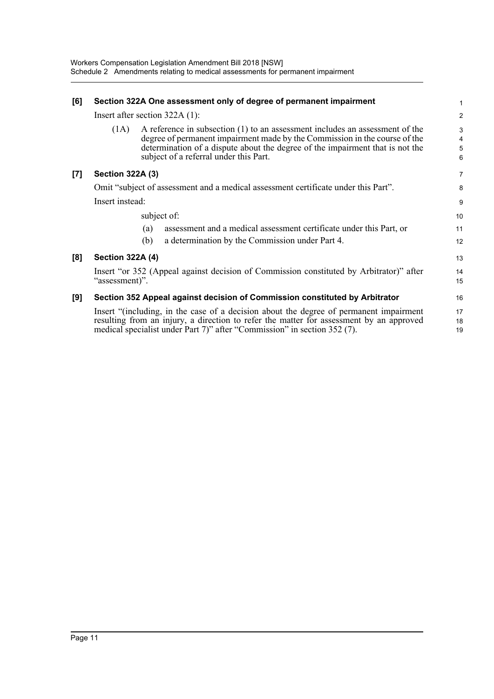| [6] | Section 322A One assessment only of degree of permanent impairment                                                                                                                                                                                                                            | 1                |
|-----|-----------------------------------------------------------------------------------------------------------------------------------------------------------------------------------------------------------------------------------------------------------------------------------------------|------------------|
|     | Insert after section $322A(1)$ :                                                                                                                                                                                                                                                              | $\overline{2}$   |
|     | A reference in subsection (1) to an assessment includes an assessment of the<br>(1A)<br>degree of permanent impairment made by the Commission in the course of the<br>determination of a dispute about the degree of the impairment that is not the<br>subject of a referral under this Part. | 3<br>4<br>5<br>6 |
| [7] | <b>Section 322A (3)</b>                                                                                                                                                                                                                                                                       | $\overline{7}$   |
|     | Omit "subject of assessment and a medical assessment certificate under this Part".                                                                                                                                                                                                            | 8                |
|     | Insert instead:                                                                                                                                                                                                                                                                               | 9                |
|     | subject of:                                                                                                                                                                                                                                                                                   | 10               |
|     | assessment and a medical assessment certificate under this Part, or<br>(a)                                                                                                                                                                                                                    | 11               |
|     | a determination by the Commission under Part 4.<br>(b)                                                                                                                                                                                                                                        | 12               |
| [8] | <b>Section 322A (4)</b>                                                                                                                                                                                                                                                                       | 13               |
|     | Insert "or 352 (Appeal against decision of Commission constituted by Arbitrator)" after<br>"assessment)".                                                                                                                                                                                     | 14<br>15         |
| [9] | Section 352 Appeal against decision of Commission constituted by Arbitrator                                                                                                                                                                                                                   | 16               |
|     | Insert "(including, in the case of a decision about the degree of permanent impairment<br>resulting from an injury, a direction to refer the matter for assessment by an approved<br>medical specialist under Part 7)" after "Commission" in section 352 (7).                                 | 17<br>18<br>19   |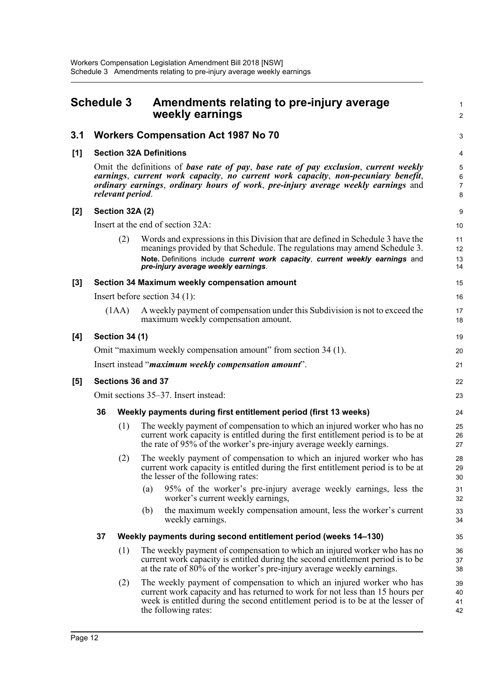<span id="page-18-0"></span>

| <b>Schedule 3</b> |                                                                                                                                                                                                                                                                                    |                 | Amendments relating to pre-injury average<br>weekly earnings                                                                                                                                                                                                                       | $\mathbf{1}$<br>$\overline{c}$ |  |  |
|-------------------|------------------------------------------------------------------------------------------------------------------------------------------------------------------------------------------------------------------------------------------------------------------------------------|-----------------|------------------------------------------------------------------------------------------------------------------------------------------------------------------------------------------------------------------------------------------------------------------------------------|--------------------------------|--|--|
| 3.1               |                                                                                                                                                                                                                                                                                    |                 | <b>Workers Compensation Act 1987 No 70</b>                                                                                                                                                                                                                                         | 3                              |  |  |
| [1]               |                                                                                                                                                                                                                                                                                    |                 | <b>Section 32A Definitions</b>                                                                                                                                                                                                                                                     | 4                              |  |  |
|                   | Omit the definitions of base rate of pay, base rate of pay exclusion, current weekly<br>earnings, current work capacity, no current work capacity, non-pecuniary benefit,<br>ordinary earnings, ordinary hours of work, pre-injury average weekly earnings and<br>relevant period. |                 |                                                                                                                                                                                                                                                                                    |                                |  |  |
| [2]               |                                                                                                                                                                                                                                                                                    | Section 32A (2) |                                                                                                                                                                                                                                                                                    | 9                              |  |  |
|                   |                                                                                                                                                                                                                                                                                    |                 | Insert at the end of section 32A:                                                                                                                                                                                                                                                  | 10                             |  |  |
|                   |                                                                                                                                                                                                                                                                                    | (2)             | Words and expressions in this Division that are defined in Schedule 3 have the<br>meanings provided by that Schedule. The regulations may amend Schedule 3.<br>Note. Definitions include current work capacity, current weekly earnings and<br>pre-injury average weekly earnings. | 11<br>12<br>13<br>14           |  |  |
| [3]               |                                                                                                                                                                                                                                                                                    |                 | Section 34 Maximum weekly compensation amount                                                                                                                                                                                                                                      | 15                             |  |  |
|                   |                                                                                                                                                                                                                                                                                    |                 | Insert before section $34(1)$ :                                                                                                                                                                                                                                                    | 16                             |  |  |
|                   |                                                                                                                                                                                                                                                                                    | (1AA)           | A weekly payment of compensation under this Subdivision is not to exceed the<br>maximum weekly compensation amount.                                                                                                                                                                | 17<br>18                       |  |  |
| [4]               | <b>Section 34 (1)</b>                                                                                                                                                                                                                                                              |                 |                                                                                                                                                                                                                                                                                    |                                |  |  |
|                   | Omit "maximum weekly compensation amount" from section 34 (1).                                                                                                                                                                                                                     |                 |                                                                                                                                                                                                                                                                                    |                                |  |  |
|                   |                                                                                                                                                                                                                                                                                    |                 | Insert instead " <i>maximum weekly compensation amount</i> ".                                                                                                                                                                                                                      | 21                             |  |  |
| [5]               | Sections 36 and 37                                                                                                                                                                                                                                                                 |                 |                                                                                                                                                                                                                                                                                    |                                |  |  |
|                   |                                                                                                                                                                                                                                                                                    |                 | Omit sections 35–37. Insert instead:                                                                                                                                                                                                                                               | 23                             |  |  |
|                   | 36                                                                                                                                                                                                                                                                                 |                 | Weekly payments during first entitlement period (first 13 weeks)                                                                                                                                                                                                                   | 24                             |  |  |
|                   |                                                                                                                                                                                                                                                                                    | (1)             | The weekly payment of compensation to which an injured worker who has no<br>current work capacity is entitled during the first entitlement period is to be at<br>the rate of 95% of the worker's pre-injury average weekly earnings.                                               | 25<br>26<br>27                 |  |  |
|                   |                                                                                                                                                                                                                                                                                    | (2)             | The weekly payment of compensation to which an injured worker who has<br>current work capacity is entitled during the first entitlement period is to be at<br>the lesser of the following rates:                                                                                   | 28<br>29<br>30                 |  |  |
|                   |                                                                                                                                                                                                                                                                                    |                 | 95% of the worker's pre-injury average weekly earnings, less the<br>(a)<br>worker's current weekly earnings,                                                                                                                                                                       | 31<br>32                       |  |  |
|                   |                                                                                                                                                                                                                                                                                    |                 | the maximum weekly compensation amount, less the worker's current<br>(b)<br>weekly earnings.                                                                                                                                                                                       | 33<br>34                       |  |  |
|                   | 37                                                                                                                                                                                                                                                                                 |                 | Weekly payments during second entitlement period (weeks 14-130)                                                                                                                                                                                                                    | 35                             |  |  |
|                   |                                                                                                                                                                                                                                                                                    | (1)             | The weekly payment of compensation to which an injured worker who has no<br>current work capacity is entitled during the second entitlement period is to be<br>at the rate of $80\%$ of the worker's pre-injury average weekly earnings.                                           | 36<br>37<br>38                 |  |  |
|                   |                                                                                                                                                                                                                                                                                    | (2)             | The weekly payment of compensation to which an injured worker who has<br>current work capacity and has returned to work for not less than 15 hours per<br>week is entitled during the second entitlement period is to be at the lesser of<br>the following rates:                  | 39<br>40<br>41<br>42           |  |  |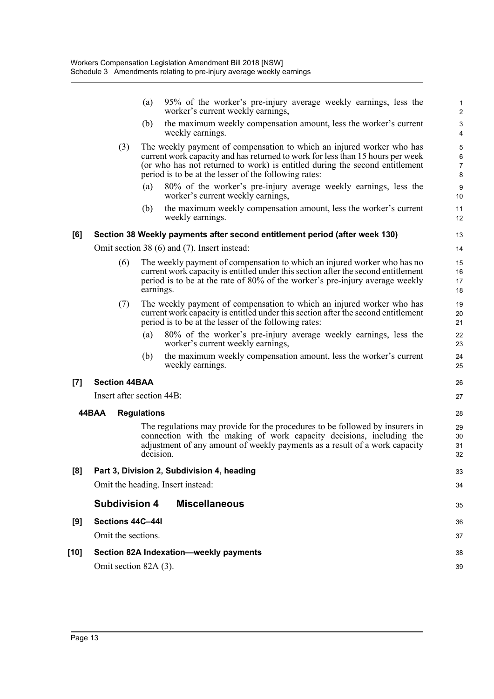|      |                       | 95% of the worker's pre-injury average weekly earnings, less the<br>(a)<br>worker's current weekly earnings,                                                                                                                                                                                    | $\mathbf{1}$<br>$\overline{2}$        |
|------|-----------------------|-------------------------------------------------------------------------------------------------------------------------------------------------------------------------------------------------------------------------------------------------------------------------------------------------|---------------------------------------|
|      |                       | the maximum weekly compensation amount, less the worker's current<br>(b)<br>weekly earnings.                                                                                                                                                                                                    | $\ensuremath{\mathsf{3}}$<br>4        |
|      | (3)                   | The weekly payment of compensation to which an injured worker who has<br>current work capacity and has returned to work for less than 15 hours per week<br>(or who has not returned to work) is entitled during the second entitlement<br>period is to be at the lesser of the following rates: | 5<br>6<br>$\boldsymbol{7}$<br>$\bf 8$ |
|      |                       | 80% of the worker's pre-injury average weekly earnings, less the<br>(a)<br>worker's current weekly earnings,                                                                                                                                                                                    | 9<br>10                               |
|      |                       | the maximum weekly compensation amount, less the worker's current<br>(b)<br>weekly earnings.                                                                                                                                                                                                    | 11<br>12                              |
| [6]  |                       | Section 38 Weekly payments after second entitlement period (after week 130)                                                                                                                                                                                                                     | 13                                    |
|      |                       | Omit section 38 (6) and (7). Insert instead:                                                                                                                                                                                                                                                    | 14                                    |
|      | (6)                   | The weekly payment of compensation to which an injured worker who has no<br>current work capacity is entitled under this section after the second entitlement<br>period is to be at the rate of 80% of the worker's pre-injury average weekly<br>earnings.                                      | 15<br>16<br>17<br>18                  |
|      | (7)                   | The weekly payment of compensation to which an injured worker who has<br>current work capacity is entitled under this section after the second entitlement<br>period is to be at the lesser of the following rates:                                                                             | 19<br>20<br>21                        |
|      |                       | 80% of the worker's pre-injury average weekly earnings, less the<br>(a)<br>worker's current weekly earnings,                                                                                                                                                                                    | 22<br>23                              |
|      |                       | the maximum weekly compensation amount, less the worker's current<br>(b)<br>weekly earnings.                                                                                                                                                                                                    | 24<br>25                              |
| [7]  | <b>Section 44BAA</b>  |                                                                                                                                                                                                                                                                                                 | 26                                    |
|      |                       | Insert after section 44B:                                                                                                                                                                                                                                                                       | 27                                    |
|      | 44BAA                 | <b>Regulations</b>                                                                                                                                                                                                                                                                              | 28                                    |
|      |                       | The regulations may provide for the procedures to be followed by insurers in<br>connection with the making of work capacity decisions, including the<br>adjustment of any amount of weekly payments as a result of a work capacity<br>decision.                                                 | 29<br>30<br>31<br>32                  |
| [8]  |                       | Part 3, Division 2, Subdivision 4, heading                                                                                                                                                                                                                                                      | 33                                    |
|      |                       | Omit the heading. Insert instead:                                                                                                                                                                                                                                                               | 34                                    |
|      | <b>Subdivision 4</b>  | <b>Miscellaneous</b>                                                                                                                                                                                                                                                                            | 35                                    |
| [9]  | Sections 44C-44I      |                                                                                                                                                                                                                                                                                                 | 36                                    |
|      | Omit the sections.    |                                                                                                                                                                                                                                                                                                 | 37                                    |
| [10] |                       | Section 82A Indexation-weekly payments                                                                                                                                                                                                                                                          | 38                                    |
|      | Omit section 82A (3). |                                                                                                                                                                                                                                                                                                 | 39                                    |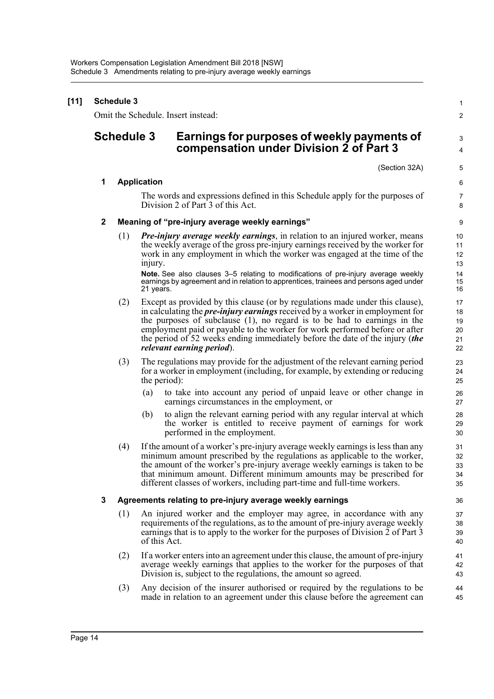| $[11]$ | <b>Schedule 3</b> |                   |                    |                                                                                                                                                                                                                                                                                                                                                                                                                                                          |                                  |  |
|--------|-------------------|-------------------|--------------------|----------------------------------------------------------------------------------------------------------------------------------------------------------------------------------------------------------------------------------------------------------------------------------------------------------------------------------------------------------------------------------------------------------------------------------------------------------|----------------------------------|--|
|        |                   |                   |                    | Omit the Schedule. Insert instead:                                                                                                                                                                                                                                                                                                                                                                                                                       | $\overline{\mathbf{c}}$          |  |
|        |                   | <b>Schedule 3</b> |                    | Earnings for purposes of weekly payments of<br>compensation under Division 2 of Part 3                                                                                                                                                                                                                                                                                                                                                                   | 3<br>4                           |  |
|        |                   |                   |                    | (Section 32A)                                                                                                                                                                                                                                                                                                                                                                                                                                            | 5                                |  |
|        | 1                 |                   | <b>Application</b> |                                                                                                                                                                                                                                                                                                                                                                                                                                                          | 6                                |  |
|        |                   |                   |                    | The words and expressions defined in this Schedule apply for the purposes of<br>Division 2 of Part 3 of this Act.                                                                                                                                                                                                                                                                                                                                        | 7<br>8                           |  |
|        | $\mathbf 2$       |                   |                    | Meaning of "pre-injury average weekly earnings"                                                                                                                                                                                                                                                                                                                                                                                                          | 9                                |  |
|        |                   | (1)               | injury.            | <b>Pre-injury average weekly earnings</b> , in relation to an injured worker, means<br>the weekly average of the gross pre-injury earnings received by the worker for<br>work in any employment in which the worker was engaged at the time of the<br>Note. See also clauses 3-5 relating to modifications of pre-injury average weekly<br>earnings by agreement and in relation to apprentices, trainees and persons aged under                         | 10<br>11<br>12<br>13<br>14<br>15 |  |
|        |                   |                   | 21 years.          |                                                                                                                                                                                                                                                                                                                                                                                                                                                          | 16                               |  |
|        |                   | (2)               |                    | Except as provided by this clause (or by regulations made under this clause),<br>in calculating the <i>pre-injury earnings</i> received by a worker in employment for<br>the purposes of subclause $(1)$ , no regard is to be had to earnings in the<br>employment paid or payable to the worker for work performed before or after<br>the period of 52 weeks ending immediately before the date of the injury (the<br><i>relevant earning period</i> ). | 17<br>18<br>19<br>20<br>21<br>22 |  |
|        |                   | (3)               | the period):       | The regulations may provide for the adjustment of the relevant earning period<br>for a worker in employment (including, for example, by extending or reducing                                                                                                                                                                                                                                                                                            | 23<br>24<br>25                   |  |
|        |                   |                   | (a)                | to take into account any period of unpaid leave or other change in<br>earnings circumstances in the employment, or                                                                                                                                                                                                                                                                                                                                       | 26<br>27                         |  |
|        |                   |                   | (b)                | to align the relevant earning period with any regular interval at which<br>the worker is entitled to receive payment of earnings for work<br>performed in the employment.                                                                                                                                                                                                                                                                                | 28<br>29<br>30                   |  |
|        |                   | (4)               |                    | If the amount of a worker's pre-injury average weekly earnings is less than any<br>minimum amount prescribed by the regulations as applicable to the worker,<br>the amount of the worker's pre-injury average weekly earnings is taken to be<br>that minimum amount. Different minimum amounts may be prescribed for<br>different classes of workers, including part-time and full-time workers.                                                         | 31<br>32<br>33<br>34<br>35       |  |
|        | 3                 |                   |                    | Agreements relating to pre-injury average weekly earnings                                                                                                                                                                                                                                                                                                                                                                                                | 36                               |  |
|        |                   | (1)               | of this Act.       | An injured worker and the employer may agree, in accordance with any<br>requirements of the regulations, as to the amount of pre-injury average weekly<br>earnings that is to apply to the worker for the purposes of Division 2 of Part 3                                                                                                                                                                                                               | 37<br>38<br>39<br>40             |  |
|        |                   | (2)               |                    | If a worker enters into an agreement under this clause, the amount of pre-injury<br>average weekly earnings that applies to the worker for the purposes of that<br>Division is, subject to the regulations, the amount so agreed.                                                                                                                                                                                                                        | 41<br>42<br>43                   |  |
|        |                   | (3)               |                    | Any decision of the insurer authorised or required by the regulations to be<br>made in relation to an agreement under this clause before the agreement can                                                                                                                                                                                                                                                                                               | 44<br>45                         |  |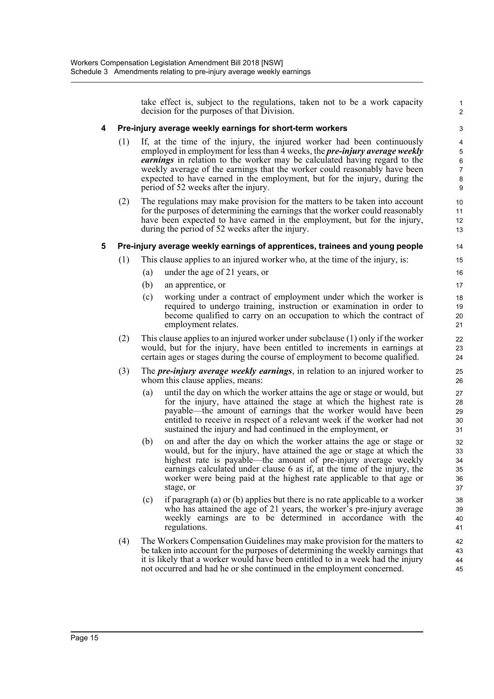take effect is, subject to the regulations, taken not to be a work capacity decision for the purposes of that Division.

1 2

#### **4 Pre-injury average weekly earnings for short-term workers**

- (1) If, at the time of the injury, the injured worker had been continuously employed in employment for less than 4 weeks, the *pre-injury average weekly earnings* in relation to the worker may be calculated having regard to the weekly average of the earnings that the worker could reasonably have been expected to have earned in the employment, but for the injury, during the period of 52 weeks after the injury.
- (2) The regulations may make provision for the matters to be taken into account for the purposes of determining the earnings that the worker could reasonably have been expected to have earned in the employment, but for the injury, during the period of 52 weeks after the injury.

#### **5 Pre-injury average weekly earnings of apprentices, trainees and young people**

- (1) This clause applies to an injured worker who, at the time of the injury, is:
	- (a) under the age of 21 years, or
	- (b) an apprentice, or
	- (c) working under a contract of employment under which the worker is required to undergo training, instruction or examination in order to become qualified to carry on an occupation to which the contract of employment relates.
- (2) This clause applies to an injured worker under subclause (1) only if the worker would, but for the injury, have been entitled to increments in earnings at certain ages or stages during the course of employment to become qualified.
- (3) The *pre-injury average weekly earnings*, in relation to an injured worker to whom this clause applies, means:
	- (a) until the day on which the worker attains the age or stage or would, but for the injury, have attained the stage at which the highest rate is payable—the amount of earnings that the worker would have been entitled to receive in respect of a relevant week if the worker had not sustained the injury and had continued in the employment, or
	- (b) on and after the day on which the worker attains the age or stage or would, but for the injury, have attained the age or stage at which the highest rate is payable—the amount of pre-injury average weekly earnings calculated under clause 6 as if, at the time of the injury, the worker were being paid at the highest rate applicable to that age or stage, or
	- (c) if paragraph (a) or (b) applies but there is no rate applicable to a worker who has attained the age of 21 years, the worker's pre-injury average weekly earnings are to be determined in accordance with the regulations.
- (4) The Workers Compensation Guidelines may make provision for the matters to be taken into account for the purposes of determining the weekly earnings that it is likely that a worker would have been entitled to in a week had the injury not occurred and had he or she continued in the employment concerned. 42 43 44 45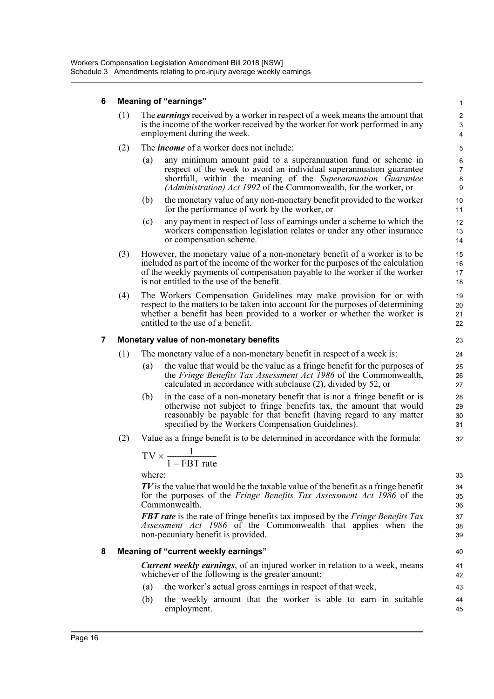#### **6 Meaning of "earnings"**

- (1) The *earnings* received by a worker in respect of a week means the amount that is the income of the worker received by the worker for work performed in any employment during the week.
- (2) The *income* of a worker does not include:
	- (a) any minimum amount paid to a superannuation fund or scheme in respect of the week to avoid an individual superannuation guarantee shortfall, within the meaning of the *Superannuation Guarantee (Administration) Act 1992* of the Commonwealth, for the worker, or

- (b) the monetary value of any non-monetary benefit provided to the worker for the performance of work by the worker, or
- (c) any payment in respect of loss of earnings under a scheme to which the workers compensation legislation relates or under any other insurance or compensation scheme.
- (3) However, the monetary value of a non-monetary benefit of a worker is to be included as part of the income of the worker for the purposes of the calculation of the weekly payments of compensation payable to the worker if the worker is not entitled to the use of the benefit.
- (4) The Workers Compensation Guidelines may make provision for or with respect to the matters to be taken into account for the purposes of determining whether a benefit has been provided to a worker or whether the worker is entitled to the use of a benefit.

#### **7 Monetary value of non-monetary benefits**

- (1) The monetary value of a non-monetary benefit in respect of a week is:
	- (a) the value that would be the value as a fringe benefit for the purposes of the *Fringe Benefits Tax Assessment Act 1986* of the Commonwealth, calculated in accordance with subclause (2), divided by 52, or
	- (b) in the case of a non-monetary benefit that is not a fringe benefit or is otherwise not subject to fringe benefits tax, the amount that would reasonably be payable for that benefit (having regard to any matter specified by the Workers Compensation Guidelines).
- (2) Value as a fringe benefit is to be determined in accordance with the formula:

$$
TV \times \frac{1}{1 - FBT\ rate}
$$

where:

*TV* is the value that would be the taxable value of the benefit as a fringe benefit for the purposes of the *Fringe Benefits Tax Assessment Act 1986* of the Commonwealth.

*FBT rate* is the rate of fringe benefits tax imposed by the *Fringe Benefits Tax Assessment Act 1986* of the Commonwealth that applies when the non-pecuniary benefit is provided.

#### **8 Meaning of "current weekly earnings"**

*Current weekly earnings*, of an injured worker in relation to a week, means whichever of the following is the greater amount:

- (a) the worker's actual gross earnings in respect of that week,
- (b) the weekly amount that the worker is able to earn in suitable employment.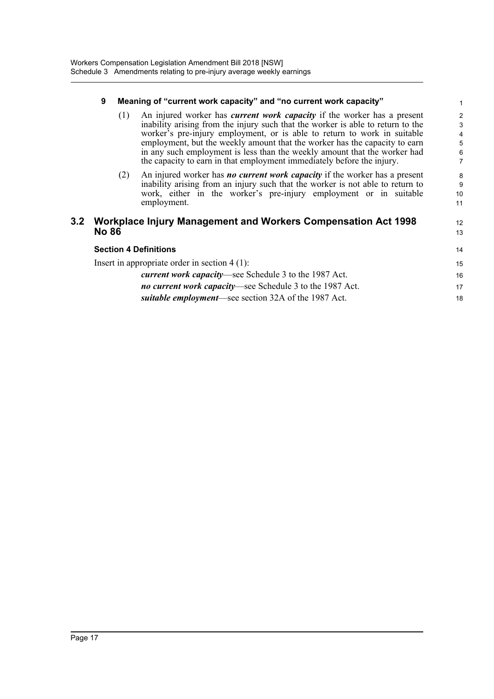#### **9 Meaning of "current work capacity" and "no current work capacity"**

(1) An injured worker has *current work capacity* if the worker has a present inability arising from the injury such that the worker is able to return to the worker's pre-injury employment, or is able to return to work in suitable employment, but the weekly amount that the worker has the capacity to earn in any such employment is less than the weekly amount that the worker had the capacity to earn in that employment immediately before the injury.

12 13

(2) An injured worker has *no current work capacity* if the worker has a present inability arising from an injury such that the worker is not able to return to work, either in the worker's pre-injury employment or in suitable employment.

#### **3.2 Workplace Injury Management and Workers Compensation Act 1998 No 86**

| <b>Section 4 Definitions</b>                                  |    |  |
|---------------------------------------------------------------|----|--|
| Insert in appropriate order in section $4(1)$ :               | 15 |  |
| <i>current work capacity</i> —see Schedule 3 to the 1987 Act. | 16 |  |
| no current work capacity—see Schedule 3 to the 1987 Act.      | 17 |  |
| suitable employment—see section 32A of the 1987 Act.          | 18 |  |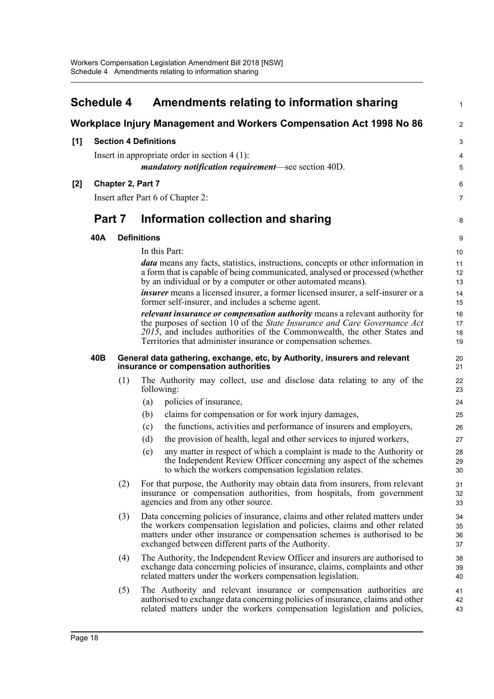<span id="page-24-0"></span>

|       | <b>Schedule 4</b><br>Amendments relating to information sharing     |                                                             |                                                                                                                                                                                                                                                                                                  |                      |  |  |  |
|-------|---------------------------------------------------------------------|-------------------------------------------------------------|--------------------------------------------------------------------------------------------------------------------------------------------------------------------------------------------------------------------------------------------------------------------------------------------------|----------------------|--|--|--|
|       | Workplace Injury Management and Workers Compensation Act 1998 No 86 |                                                             |                                                                                                                                                                                                                                                                                                  |                      |  |  |  |
| [1]   | <b>Section 4 Definitions</b>                                        |                                                             |                                                                                                                                                                                                                                                                                                  |                      |  |  |  |
|       | Insert in appropriate order in section $4(1)$ :                     |                                                             |                                                                                                                                                                                                                                                                                                  |                      |  |  |  |
|       |                                                                     | <i>mandatory notification requirement</i> —see section 40D. |                                                                                                                                                                                                                                                                                                  |                      |  |  |  |
| $[2]$ |                                                                     |                                                             | Chapter 2, Part 7                                                                                                                                                                                                                                                                                | 6                    |  |  |  |
|       |                                                                     |                                                             | Insert after Part 6 of Chapter 2:                                                                                                                                                                                                                                                                | 7                    |  |  |  |
|       | Part 7                                                              |                                                             | Information collection and sharing                                                                                                                                                                                                                                                               | 8                    |  |  |  |
|       | 40A                                                                 |                                                             | <b>Definitions</b>                                                                                                                                                                                                                                                                               | 9                    |  |  |  |
|       |                                                                     |                                                             | In this Part:                                                                                                                                                                                                                                                                                    | 10                   |  |  |  |
|       |                                                                     |                                                             | <i>data</i> means any facts, statistics, instructions, concepts or other information in                                                                                                                                                                                                          | 11                   |  |  |  |
|       |                                                                     |                                                             | a form that is capable of being communicated, analysed or processed (whether<br>by an individual or by a computer or other automated means).                                                                                                                                                     | 12<br>13             |  |  |  |
|       |                                                                     |                                                             | <i>insurer</i> means a licensed insurer, a former licensed insurer, a self-insurer or a                                                                                                                                                                                                          | 14                   |  |  |  |
|       |                                                                     |                                                             | former self-insurer, and includes a scheme agent.                                                                                                                                                                                                                                                | 15                   |  |  |  |
|       |                                                                     |                                                             | <i>relevant insurance or compensation authority</i> means a relevant authority for                                                                                                                                                                                                               | 16                   |  |  |  |
|       |                                                                     |                                                             | the purposes of section 10 of the State Insurance and Care Governance Act<br>$201\overline{5}$ , and includes authorities of the Commonwealth, the other States and                                                                                                                              | 17<br>18             |  |  |  |
|       |                                                                     |                                                             | Territories that administer insurance or compensation schemes.                                                                                                                                                                                                                                   | 19                   |  |  |  |
|       | 40B                                                                 |                                                             | General data gathering, exchange, etc, by Authority, insurers and relevant<br>insurance or compensation authorities                                                                                                                                                                              | 20<br>21             |  |  |  |
|       |                                                                     | (1)                                                         | The Authority may collect, use and disclose data relating to any of the<br>following:                                                                                                                                                                                                            | 22<br>23             |  |  |  |
|       |                                                                     |                                                             | policies of insurance,<br>(a)                                                                                                                                                                                                                                                                    | 24                   |  |  |  |
|       |                                                                     |                                                             | claims for compensation or for work injury damages,<br>(b)                                                                                                                                                                                                                                       | 25                   |  |  |  |
|       |                                                                     |                                                             | the functions, activities and performance of insurers and employers,<br>(c)                                                                                                                                                                                                                      | 26                   |  |  |  |
|       |                                                                     |                                                             | the provision of health, legal and other services to injured workers,<br>(d)                                                                                                                                                                                                                     | 27                   |  |  |  |
|       |                                                                     |                                                             | any matter in respect of which a complaint is made to the Authority or<br>(e)<br>the Independent Review Officer concerning any aspect of the schemes<br>to which the workers compensation legislation relates.                                                                                   | 28<br>29<br>30       |  |  |  |
|       |                                                                     | (2)                                                         | For that purpose, the Authority may obtain data from insurers, from relevant<br>insurance or compensation authorities, from hospitals, from government<br>agencies and from any other source.                                                                                                    | 31<br>32<br>33       |  |  |  |
|       |                                                                     | (3)                                                         | Data concerning policies of insurance, claims and other related matters under<br>the workers compensation legislation and policies, claims and other related<br>matters under other insurance or compensation schemes is authorised to be<br>exchanged between different parts of the Authority. | 34<br>35<br>36<br>37 |  |  |  |
|       |                                                                     | (4)                                                         | The Authority, the Independent Review Officer and insurers are authorised to<br>exchange data concerning policies of insurance, claims, complaints and other<br>related matters under the workers compensation legislation.                                                                      | 38<br>39<br>40       |  |  |  |
|       |                                                                     | (5)                                                         | The Authority and relevant insurance or compensation authorities are<br>authorised to exchange data concerning policies of insurance, claims and other<br>related matters under the workers compensation legislation and policies,                                                               | 41<br>42<br>43       |  |  |  |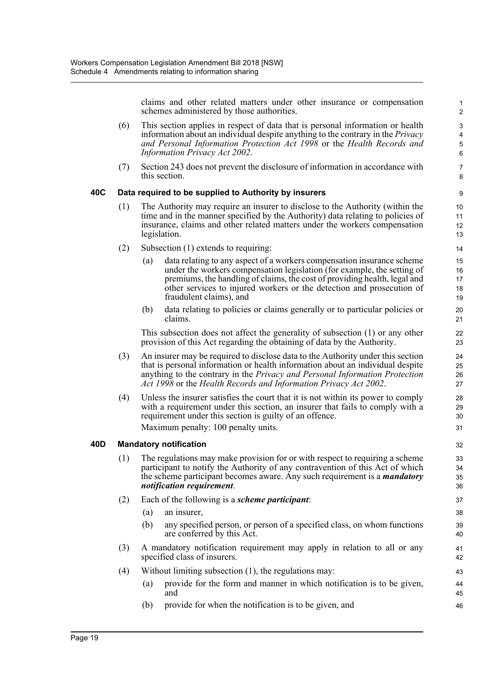claims and other related matters under other insurance or compensation schemes administered by those authorities.

46

- (6) This section applies in respect of data that is personal information or health information about an individual despite anything to the contrary in the *Privacy and Personal Information Protection Act 1998* or the *Health Records and Information Privacy Act 2002*.
- (7) Section 243 does not prevent the disclosure of information in accordance with this section.

#### **40C Data required to be supplied to Authority by insurers**

- (1) The Authority may require an insurer to disclose to the Authority (within the time and in the manner specified by the Authority) data relating to policies of insurance, claims and other related matters under the workers compensation legislation.
- (2) Subsection (1) extends to requiring:
	- (a) data relating to any aspect of a workers compensation insurance scheme under the workers compensation legislation (for example, the setting of premiums, the handling of claims, the cost of providing health, legal and other services to injured workers or the detection and prosecution of fraudulent claims), and
	- (b) data relating to policies or claims generally or to particular policies or claims.

This subsection does not affect the generality of subsection (1) or any other provision of this Act regarding the obtaining of data by the Authority.

- (3) An insurer may be required to disclose data to the Authority under this section that is personal information or health information about an individual despite anything to the contrary in the *Privacy and Personal Information Protection Act 1998* or the *Health Records and Information Privacy Act 2002*.
- (4) Unless the insurer satisfies the court that it is not within its power to comply with a requirement under this section, an insurer that fails to comply with a requirement under this section is guilty of an offence. Maximum penalty: 100 penalty units.

#### **40D Mandatory notification**

- (1) The regulations may make provision for or with respect to requiring a scheme participant to notify the Authority of any contravention of this Act of which the scheme participant becomes aware. Any such requirement is a *mandatory notification requirement*.
- (2) Each of the following is a *scheme participant*:
	- (a) an insurer,
	- (b) any specified person, or person of a specified class, on whom functions are conferred by this Act.
- (3) A mandatory notification requirement may apply in relation to all or any specified class of insurers.
- (4) Without limiting subsection (1), the regulations may:
	- (a) provide for the form and manner in which notification is to be given, and 44 45
	- (b) provide for when the notification is to be given, and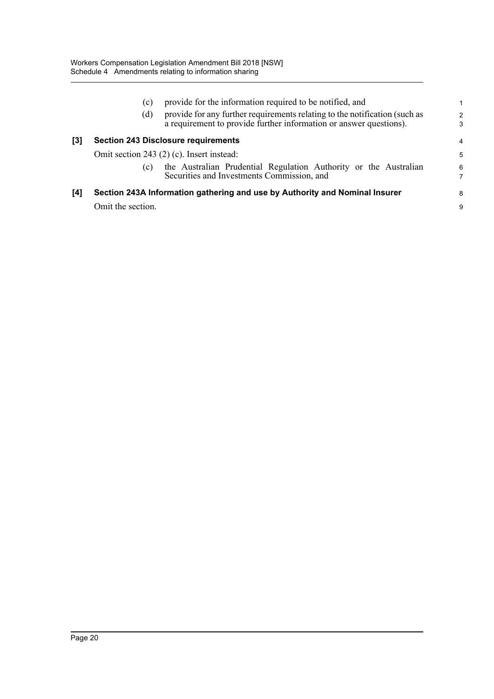|     | provide for the information required to be notified, and<br>(c)                                                                                         | 1                  |
|-----|---------------------------------------------------------------------------------------------------------------------------------------------------------|--------------------|
|     | provide for any further requirements relating to the notification (such as<br>(d)<br>a requirement to provide further information or answer questions). | $\mathcal{P}$<br>3 |
| [3] | <b>Section 243 Disclosure requirements</b>                                                                                                              | $\overline{4}$     |
|     | Omit section 243 (2) (c). Insert instead:                                                                                                               | 5                  |
|     | the Australian Prudential Regulation Authority or the Australian<br>(c)<br>Securities and Investments Commission, and                                   | 6<br>7             |
| [4] | Section 243A Information gathering and use by Authority and Nominal Insurer                                                                             | 8                  |
|     | Omit the section.                                                                                                                                       | 9                  |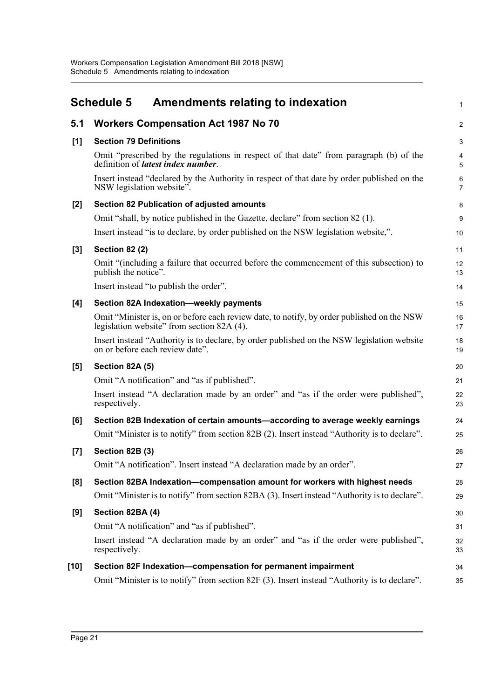<span id="page-27-0"></span>

|                  | <b>Schedule 5</b><br><b>Amendments relating to indexation</b>                                                                            | $\mathbf{1}$        |
|------------------|------------------------------------------------------------------------------------------------------------------------------------------|---------------------|
| 5.1              | <b>Workers Compensation Act 1987 No 70</b>                                                                                               | $\overline{c}$      |
| [1]              | <b>Section 79 Definitions</b>                                                                                                            | 3                   |
|                  | Omit "prescribed by the regulations in respect of that date" from paragraph (b) of the<br>definition of <i>latest index number</i> .     | 4<br>5              |
|                  | Insert instead "declared by the Authority in respect of that date by order published on the<br>NSW legislation website".                 | 6<br>$\overline{7}$ |
| $[2]$            | Section 82 Publication of adjusted amounts                                                                                               | 8                   |
|                  | Omit "shall, by notice published in the Gazette, declare" from section 82 (1).                                                           | 9                   |
|                  | Insert instead "is to declare, by order published on the NSW legislation website,".                                                      | 10                  |
| $[3]$            | <b>Section 82 (2)</b>                                                                                                                    | 11                  |
|                  | Omit "(including a failure that occurred before the commencement of this subsection) to<br>publish the notice".                          | 12<br>13            |
|                  | Insert instead "to publish the order".                                                                                                   | 14                  |
| [4]              | Section 82A Indexation-weekly payments                                                                                                   | 15                  |
|                  | Omit "Minister is, on or before each review date, to notify, by order published on the NSW<br>legislation website" from section 82A (4). | 16<br>17            |
|                  | Insert instead "Authority is to declare, by order published on the NSW legislation website<br>on or before each review date".            | 18<br>19            |
| [5]              | Section 82A (5)                                                                                                                          | 20                  |
|                  | Omit "A notification" and "as if published".                                                                                             | 21                  |
|                  | Insert instead "A declaration made by an order" and "as if the order were published",<br>respectively.                                   | 22<br>23            |
| [6]              | Section 82B Indexation of certain amounts—according to average weekly earnings                                                           | 24                  |
|                  | Omit "Minister is to notify" from section 82B (2). Insert instead "Authority is to declare".                                             | 25                  |
| $\left[7\right]$ | Section 82B (3)                                                                                                                          | 26                  |
|                  | Omit "A notification". Insert instead "A declaration made by an order"                                                                   | 27                  |
| [8]              | Section 82BA Indexation-compensation amount for workers with highest needs                                                               | 28                  |
|                  | Omit "Minister is to notify" from section 82BA (3). Insert instead "Authority is to declare".                                            | 29                  |
| [9]              | Section 82BA (4)                                                                                                                         | 30                  |
|                  | Omit "A notification" and "as if published".                                                                                             | 31                  |
|                  | Insert instead "A declaration made by an order" and "as if the order were published",<br>respectively.                                   | 32<br>33            |
| [10]             | Section 82F Indexation-compensation for permanent impairment                                                                             | 34                  |
|                  | Omit "Minister is to notify" from section 82F (3). Insert instead "Authority is to declare".                                             | 35                  |
|                  |                                                                                                                                          |                     |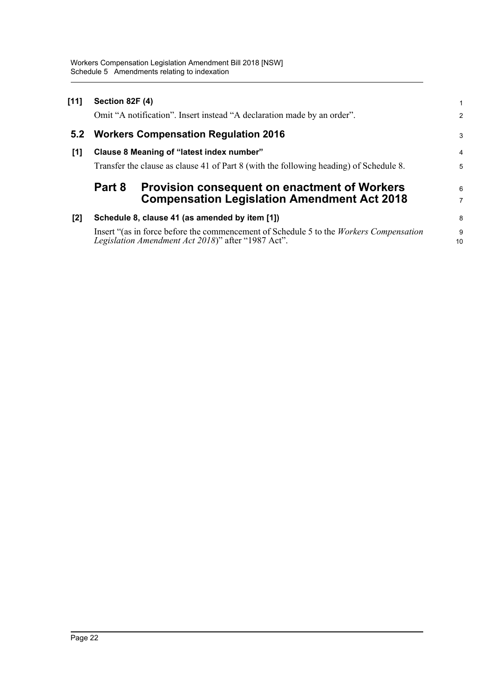| $[11]$ | Section 82F (4)                                                                        |                                                                         | 1              |  |
|--------|----------------------------------------------------------------------------------------|-------------------------------------------------------------------------|----------------|--|
|        |                                                                                        | Omit "A notification". Insert instead "A declaration made by an order". | $\overline{2}$ |  |
| 5.2    |                                                                                        | <b>Workers Compensation Regulation 2016</b>                             | 3              |  |
| [1]    |                                                                                        | Clause 8 Meaning of "latest index number"                               | $\overline{4}$ |  |
|        | Transfer the clause as clause 41 of Part 8 (with the following heading) of Schedule 8. |                                                                         |                |  |
|        |                                                                                        |                                                                         |                |  |
|        | Part 8                                                                                 | <b>Provision consequent on enactment of Workers</b>                     | 6              |  |
|        |                                                                                        | <b>Compensation Legislation Amendment Act 2018</b>                      | 7              |  |
| [2]    |                                                                                        | Schedule 8, clause 41 (as amended by item [1])                          | 8              |  |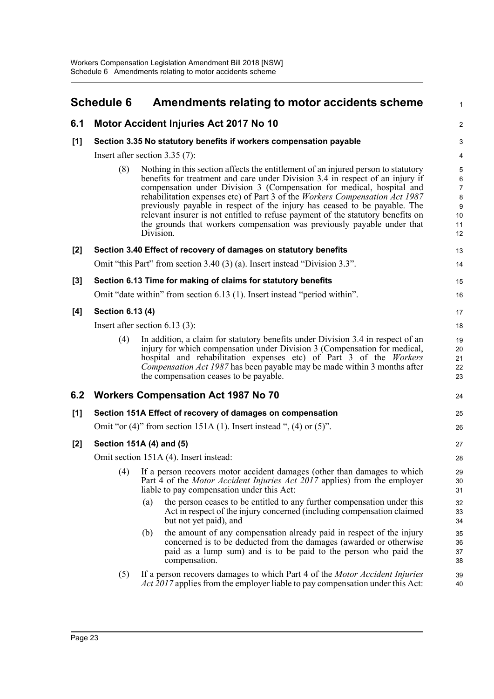<span id="page-29-0"></span>

|     | <b>Schedule 6</b>                                                  | Amendments relating to motor accidents scheme                                                                                                                                                                                                                                                                                                                                                                                                                                                                                                                                      | $\mathbf{1}$                                                     |  |  |  |  |
|-----|--------------------------------------------------------------------|------------------------------------------------------------------------------------------------------------------------------------------------------------------------------------------------------------------------------------------------------------------------------------------------------------------------------------------------------------------------------------------------------------------------------------------------------------------------------------------------------------------------------------------------------------------------------------|------------------------------------------------------------------|--|--|--|--|
| 6.1 |                                                                    | Motor Accident Injuries Act 2017 No 10                                                                                                                                                                                                                                                                                                                                                                                                                                                                                                                                             | 2                                                                |  |  |  |  |
| [1] | Section 3.35 No statutory benefits if workers compensation payable |                                                                                                                                                                                                                                                                                                                                                                                                                                                                                                                                                                                    |                                                                  |  |  |  |  |
|     |                                                                    | Insert after section $3.35(7)$ :                                                                                                                                                                                                                                                                                                                                                                                                                                                                                                                                                   | 4                                                                |  |  |  |  |
|     | (8)                                                                | Nothing in this section affects the entitlement of an injured person to statutory<br>benefits for treatment and care under Division 3.4 in respect of an injury if<br>compensation under Division 3 (Compensation for medical, hospital and<br>rehabilitation expenses etc) of Part 3 of the Workers Compensation Act 1987<br>previously payable in respect of the injury has ceased to be payable. The<br>relevant insurer is not entitled to refuse payment of the statutory benefits on<br>the grounds that workers compensation was previously payable under that<br>Division. | 5<br>$\,6\,$<br>$\overline{7}$<br>$\bf 8$<br>9<br>10<br>11<br>12 |  |  |  |  |
| [2] |                                                                    | Section 3.40 Effect of recovery of damages on statutory benefits                                                                                                                                                                                                                                                                                                                                                                                                                                                                                                                   | 13                                                               |  |  |  |  |
|     |                                                                    | Omit "this Part" from section 3.40 (3) (a). Insert instead "Division 3.3".                                                                                                                                                                                                                                                                                                                                                                                                                                                                                                         | 14                                                               |  |  |  |  |
| [3] |                                                                    | Section 6.13 Time for making of claims for statutory benefits                                                                                                                                                                                                                                                                                                                                                                                                                                                                                                                      | 15                                                               |  |  |  |  |
|     |                                                                    | Omit "date within" from section 6.13 (1). Insert instead "period within".                                                                                                                                                                                                                                                                                                                                                                                                                                                                                                          | 16                                                               |  |  |  |  |
| [4] | Section 6.13 (4)                                                   |                                                                                                                                                                                                                                                                                                                                                                                                                                                                                                                                                                                    | 17                                                               |  |  |  |  |
|     | Insert after section $6.13(3)$ :                                   |                                                                                                                                                                                                                                                                                                                                                                                                                                                                                                                                                                                    |                                                                  |  |  |  |  |
|     | (4)                                                                | In addition, a claim for statutory benefits under Division 3.4 in respect of an<br>injury for which compensation under Division 3 (Compensation for medical,<br>hospital and rehabilitation expenses etc) of Part 3 of the Workers<br>Compensation Act 1987 has been payable may be made within 3 months after<br>the compensation ceases to be payable.                                                                                                                                                                                                                           | 19<br>20<br>21<br>22<br>23                                       |  |  |  |  |
| 6.2 |                                                                    | <b>Workers Compensation Act 1987 No 70</b>                                                                                                                                                                                                                                                                                                                                                                                                                                                                                                                                         | 24                                                               |  |  |  |  |
| [1] |                                                                    | Section 151A Effect of recovery of damages on compensation                                                                                                                                                                                                                                                                                                                                                                                                                                                                                                                         | 25                                                               |  |  |  |  |
|     |                                                                    | Omit "or $(4)$ " from section 151A (1). Insert instead ", $(4)$ or $(5)$ ".                                                                                                                                                                                                                                                                                                                                                                                                                                                                                                        | 26                                                               |  |  |  |  |
| [2] |                                                                    | Section 151A (4) and (5)                                                                                                                                                                                                                                                                                                                                                                                                                                                                                                                                                           | 27                                                               |  |  |  |  |
|     |                                                                    | Omit section 151A (4). Insert instead:                                                                                                                                                                                                                                                                                                                                                                                                                                                                                                                                             | 28                                                               |  |  |  |  |
|     | (4)                                                                | If a person recovers motor accident damages (other than damages to which<br>Part 4 of the <i>Motor Accident Injuries Act 2017</i> applies) from the employer<br>liable to pay compensation under this Act:                                                                                                                                                                                                                                                                                                                                                                         | 29<br>30<br>31                                                   |  |  |  |  |
|     |                                                                    | the person ceases to be entitled to any further compensation under this<br>(a)<br>Act in respect of the injury concerned (including compensation claimed<br>but not yet paid), and                                                                                                                                                                                                                                                                                                                                                                                                 | 32<br>33<br>34                                                   |  |  |  |  |
|     |                                                                    | the amount of any compensation already paid in respect of the injury<br>(b)<br>concerned is to be deducted from the damages (awarded or otherwise<br>paid as a lump sum) and is to be paid to the person who paid the<br>compensation.                                                                                                                                                                                                                                                                                                                                             | 35<br>36<br>37<br>38                                             |  |  |  |  |
|     | (5)                                                                | If a person recovers damages to which Part 4 of the Motor Accident Injuries<br><i>Act 2017</i> applies from the employer liable to pay compensation under this Act:                                                                                                                                                                                                                                                                                                                                                                                                                | 39<br>40                                                         |  |  |  |  |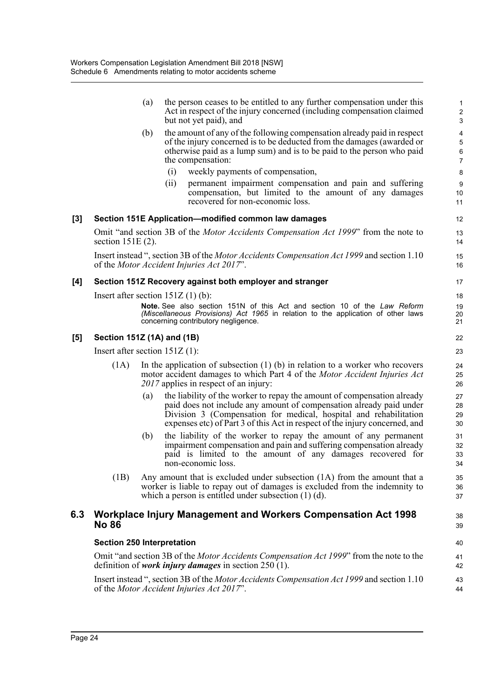|     |                                   | (a) | the person ceases to be entitled to any further compensation under this<br>Act in respect of the injury concerned (including compensation claimed<br>but not yet paid), and                                                                                                                        | $\mathbf{1}$<br>$\overline{2}$<br>3                  |
|-----|-----------------------------------|-----|----------------------------------------------------------------------------------------------------------------------------------------------------------------------------------------------------------------------------------------------------------------------------------------------------|------------------------------------------------------|
|     |                                   | (b) | the amount of any of the following compensation already paid in respect<br>of the injury concerned is to be deducted from the damages (awarded or<br>otherwise paid as a lump sum) and is to be paid to the person who paid<br>the compensation:                                                   | $\overline{4}$<br>$\mathbf 5$<br>6<br>$\overline{7}$ |
|     |                                   |     | (i)<br>weekly payments of compensation,<br>permanent impairment compensation and pain and suffering<br>(ii)<br>compensation, but limited to the amount of any damages<br>recovered for non-economic loss.                                                                                          | 8<br>9<br>10<br>11                                   |
| [3] |                                   |     | Section 151E Application-modified common law damages                                                                                                                                                                                                                                               | 12                                                   |
|     | section $151E(2)$ .               |     | Omit "and section 3B of the <i>Motor Accidents Compensation Act 1999</i> " from the note to                                                                                                                                                                                                        | 13<br>14                                             |
|     |                                   |     | Insert instead ", section 3B of the <i>Motor Accidents Compensation Act 1999</i> and section 1.10<br>of the <i>Motor Accident Injuries Act 2017</i> ".                                                                                                                                             | 15<br>16                                             |
| [4] |                                   |     | Section 151Z Recovery against both employer and stranger                                                                                                                                                                                                                                           | 17                                                   |
|     |                                   |     | Insert after section $151Z(1)(b)$ :<br>Note. See also section 151N of this Act and section 10 of the Law Reform<br>(Miscellaneous Provisions) Act 1965 in relation to the application of other laws<br>concerning contributory negligence.                                                         | 18<br>19<br>20<br>21                                 |
| [5] | Section 151Z (1A) and (1B)        |     |                                                                                                                                                                                                                                                                                                    | 22                                                   |
|     | Insert after section $151Z(1)$ :  |     |                                                                                                                                                                                                                                                                                                    | 23                                                   |
|     | (1A)                              |     | In the application of subsection $(1)$ (b) in relation to a worker who recovers<br>motor accident damages to which Part 4 of the Motor Accident Injuries Act<br>2017 applies in respect of an injury:                                                                                              | 24<br>25<br>26                                       |
|     |                                   | (a) | the liability of the worker to repay the amount of compensation already<br>paid does not include any amount of compensation already paid under<br>Division 3 (Compensation for medical, hospital and rehabilitation<br>expenses etc) of Part 3 of this Act in respect of the injury concerned, and | 27<br>28<br>29<br>30                                 |
|     |                                   | (b) | the liability of the worker to repay the amount of any permanent<br>impairment compensation and pain and suffering compensation already<br>paid is limited to the amount of any damages recovered for<br>non-economic loss.                                                                        | 31<br>32<br>33<br>34                                 |
|     | (1B)                              |     | Any amount that is excluded under subsection $(1A)$ from the amount that a<br>worker is liable to repay out of damages is excluded from the indemnity to<br>which a person is entitled under subsection $(1)$ $(d)$ .                                                                              | 35<br>36<br>37                                       |
| 6.3 | <b>No 86</b>                      |     | Workplace Injury Management and Workers Compensation Act 1998                                                                                                                                                                                                                                      | 38<br>39                                             |
|     | <b>Section 250 Interpretation</b> |     |                                                                                                                                                                                                                                                                                                    | 40                                                   |
|     |                                   |     | Omit "and section 3B of the <i>Motor Accidents Compensation Act 1999</i> " from the note to the<br>definition of <i>work injury damages</i> in section $250(1)$ .                                                                                                                                  | 41<br>42                                             |
|     |                                   |     | Insert instead", section 3B of the <i>Motor Accidents Compensation Act 1999</i> and section 1.10<br>of the Motor Accident Injuries Act 2017".                                                                                                                                                      | 43<br>44                                             |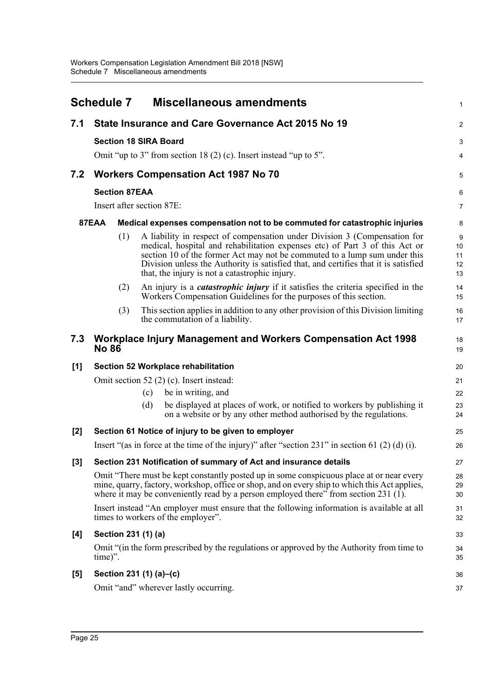<span id="page-31-0"></span>

|       | <b>Schedule 7</b>            |     |     | <b>Miscellaneous amendments</b>                                                                                                                                                                                                                                                                                                                                                | $\mathbf{1}$              |
|-------|------------------------------|-----|-----|--------------------------------------------------------------------------------------------------------------------------------------------------------------------------------------------------------------------------------------------------------------------------------------------------------------------------------------------------------------------------------|---------------------------|
| 7.1   |                              |     |     | State Insurance and Care Governance Act 2015 No 19                                                                                                                                                                                                                                                                                                                             | $\overline{2}$            |
|       | <b>Section 18 SIRA Board</b> |     |     |                                                                                                                                                                                                                                                                                                                                                                                | 3                         |
|       |                              |     |     | Omit "up to 3" from section 18 (2) (c). Insert instead "up to 5".                                                                                                                                                                                                                                                                                                              | 4                         |
| 7.2   |                              |     |     | <b>Workers Compensation Act 1987 No 70</b>                                                                                                                                                                                                                                                                                                                                     | 5                         |
|       | <b>Section 87EAA</b>         |     |     |                                                                                                                                                                                                                                                                                                                                                                                | $6\phantom{1}6$           |
|       | Insert after section 87E:    |     |     |                                                                                                                                                                                                                                                                                                                                                                                | $\overline{7}$            |
|       | 87EAA                        |     |     | Medical expenses compensation not to be commuted for catastrophic injuries                                                                                                                                                                                                                                                                                                     | 8                         |
|       |                              | (1) |     | A liability in respect of compensation under Division 3 (Compensation for<br>medical, hospital and rehabilitation expenses etc) of Part 3 of this Act or<br>section 10 of the former Act may not be commuted to a lump sum under this<br>Division unless the Authority is satisfied that, and certifies that it is satisfied<br>that, the injury is not a catastrophic injury. | 9<br>10<br>11<br>12<br>13 |
|       |                              | (2) |     | An injury is a <i>catastrophic injury</i> if it satisfies the criteria specified in the<br>Workers Compensation Guidelines for the purposes of this section.                                                                                                                                                                                                                   | 14<br>15                  |
|       |                              | (3) |     | This section applies in addition to any other provision of this Division limiting<br>the commutation of a liability.                                                                                                                                                                                                                                                           | 16<br>17                  |
| 7.3   | <b>No 86</b>                 |     |     | Workplace Injury Management and Workers Compensation Act 1998                                                                                                                                                                                                                                                                                                                  | 18<br>19                  |
| [1]   |                              |     |     | Section 52 Workplace rehabilitation                                                                                                                                                                                                                                                                                                                                            | 20                        |
|       |                              |     |     | Omit section 52 $(2)$ $(c)$ . Insert instead:                                                                                                                                                                                                                                                                                                                                  | 21                        |
|       |                              |     | (c) | be in writing, and                                                                                                                                                                                                                                                                                                                                                             | 22                        |
|       |                              |     | (d) | be displayed at places of work, or notified to workers by publishing it<br>on a website or by any other method authorised by the regulations.                                                                                                                                                                                                                                  | 23<br>24                  |
| $[2]$ |                              |     |     | Section 61 Notice of injury to be given to employer                                                                                                                                                                                                                                                                                                                            | 25                        |
|       |                              |     |     | Insert "(as in force at the time of the injury)" after "section 231" in section 61 (2) (d) (i).                                                                                                                                                                                                                                                                                | 26                        |
| $[3]$ |                              |     |     | Section 231 Notification of summary of Act and insurance details                                                                                                                                                                                                                                                                                                               | 27                        |
|       |                              |     |     | Omit "There must be kept constantly posted up in some conspicuous place at or near every<br>mine, quarry, factory, workshop, office or shop, and on every ship to which this Act applies,<br>where it may be conveniently read by a person employed there" from section 231 $(1)$ .                                                                                            | 28<br>29<br>30            |
|       |                              |     |     | Insert instead "An employer must ensure that the following information is available at all<br>times to workers of the employer".                                                                                                                                                                                                                                               | 31<br>32                  |
| [4]   | Section 231 (1) (a)          |     |     |                                                                                                                                                                                                                                                                                                                                                                                | 33                        |
|       | time)".                      |     |     | Omit "(in the form prescribed by the regulations or approved by the Authority from time to                                                                                                                                                                                                                                                                                     | 34<br>35                  |
| [5]   | Section 231 (1) (a)–(c)      |     |     |                                                                                                                                                                                                                                                                                                                                                                                | 36                        |
|       |                              |     |     | Omit "and" wherever lastly occurring.                                                                                                                                                                                                                                                                                                                                          | 37                        |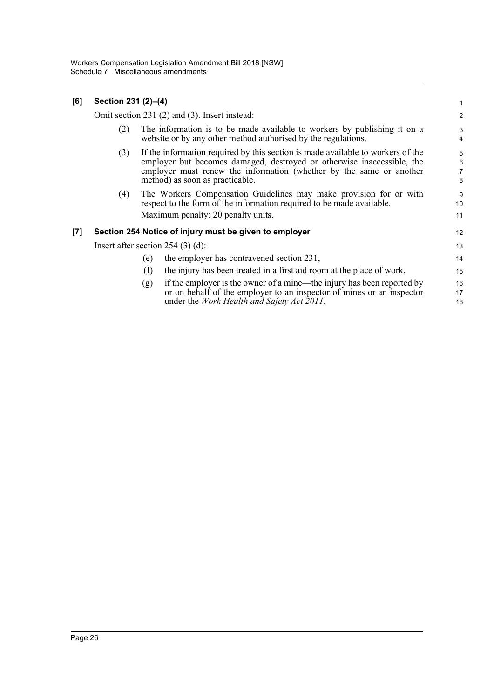| [6]               | Section 231 (2)-(4) |                                                                                                                                                                                                                                                                     | 1                       |
|-------------------|---------------------|---------------------------------------------------------------------------------------------------------------------------------------------------------------------------------------------------------------------------------------------------------------------|-------------------------|
|                   |                     | Omit section 231 (2) and (3). Insert instead:                                                                                                                                                                                                                       | $\overline{\mathbf{c}}$ |
|                   | (2)                 | The information is to be made available to workers by publishing it on a<br>website or by any other method authorised by the regulations.                                                                                                                           | 3<br>4                  |
|                   | (3)                 | If the information required by this section is made available to workers of the<br>employer but becomes damaged, destroyed or otherwise inaccessible, the<br>employer must renew the information (whether by the same or another<br>method) as soon as practicable. | 5<br>6<br>7<br>8        |
|                   | (4)                 | The Workers Compensation Guidelines may make provision for or with<br>respect to the form of the information required to be made available.<br>Maximum penalty: 20 penalty units.                                                                                   | 9<br>10<br>11           |
| $\left[ 7\right]$ |                     | Section 254 Notice of injury must be given to employer                                                                                                                                                                                                              | 12                      |
|                   |                     | Insert after section $254$ (3) (d):                                                                                                                                                                                                                                 | 13                      |
|                   |                     | the employer has contravened section 231,<br>(e)                                                                                                                                                                                                                    | 14                      |
|                   |                     | the injury has been treated in a first aid room at the place of work,<br>(f)                                                                                                                                                                                        | 15                      |
|                   |                     | if the employer is the owner of a mine—the injury has been reported by<br>(g)<br>or on behalf of the employer to an inspector of mines or an inspector<br>under the Work Health and Safety Act 2011.                                                                | 16<br>17<br>18          |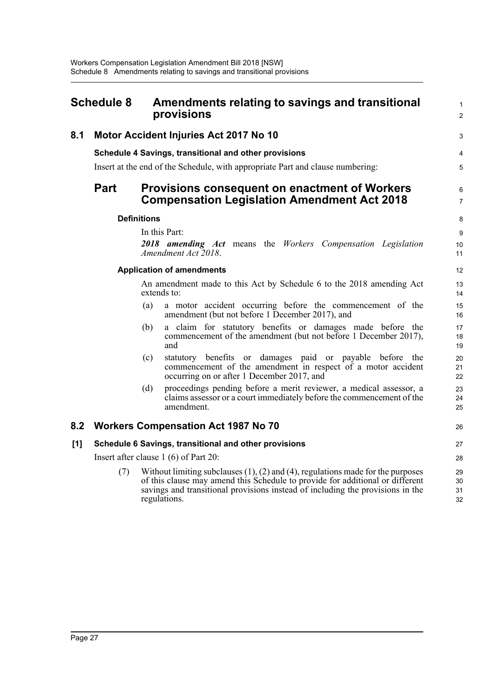<span id="page-33-0"></span>

| <b>Schedule 8</b> |                                        | Amendments relating to savings and transitional<br>provisions                                                                                                                                                                                                              |                      |  |  |
|-------------------|----------------------------------------|----------------------------------------------------------------------------------------------------------------------------------------------------------------------------------------------------------------------------------------------------------------------------|----------------------|--|--|
| 8.1               | Motor Accident Injuries Act 2017 No 10 |                                                                                                                                                                                                                                                                            |                      |  |  |
|                   |                                        | Schedule 4 Savings, transitional and other provisions<br>Insert at the end of the Schedule, with appropriate Part and clause numbering:                                                                                                                                    |                      |  |  |
|                   | <b>Part</b>                            | <b>Provisions consequent on enactment of Workers</b><br><b>Compensation Legislation Amendment Act 2018</b>                                                                                                                                                                 | 6<br>$\overline{7}$  |  |  |
|                   |                                        | <b>Definitions</b>                                                                                                                                                                                                                                                         | 8                    |  |  |
|                   |                                        | In this Part:<br>2018 amending Act means the Workers Compensation Legislation<br>Amendment Act 2018.                                                                                                                                                                       | 9<br>10<br>11        |  |  |
|                   |                                        | <b>Application of amendments</b>                                                                                                                                                                                                                                           | 12                   |  |  |
|                   |                                        | An amendment made to this Act by Schedule 6 to the 2018 amending Act<br>extends to:                                                                                                                                                                                        | 13<br>14             |  |  |
|                   |                                        | (a)<br>a motor accident occurring before the commencement of the<br>amendment (but not before 1 December 2017), and                                                                                                                                                        | 15<br>16             |  |  |
|                   |                                        | a claim for statutory benefits or damages made before the<br>(b)<br>commencement of the amendment (but not before 1 December 2017),<br>and                                                                                                                                 | 17<br>18<br>19       |  |  |
|                   |                                        | statutory benefits or damages paid or payable before the<br>(c)<br>commencement of the amendment in respect of a motor accident<br>occurring on or after 1 December 2017, and                                                                                              | 20<br>21<br>22       |  |  |
|                   |                                        | proceedings pending before a merit reviewer, a medical assessor, a<br>(d)<br>claims assessor or a court immediately before the commencement of the<br>amendment.                                                                                                           | 23<br>24<br>25       |  |  |
| 8.2               |                                        | <b>Workers Compensation Act 1987 No 70</b>                                                                                                                                                                                                                                 | 26                   |  |  |
| [1]               |                                        | Schedule 6 Savings, transitional and other provisions                                                                                                                                                                                                                      | 27                   |  |  |
|                   |                                        | Insert after clause 1 (6) of Part 20:                                                                                                                                                                                                                                      | 28                   |  |  |
|                   | (7)                                    | Without limiting subclauses $(1)$ , $(2)$ and $(4)$ , regulations made for the purposes<br>of this clause may amend this Schedule to provide for additional or different<br>savings and transitional provisions instead of including the provisions in the<br>regulations. | 29<br>30<br>31<br>32 |  |  |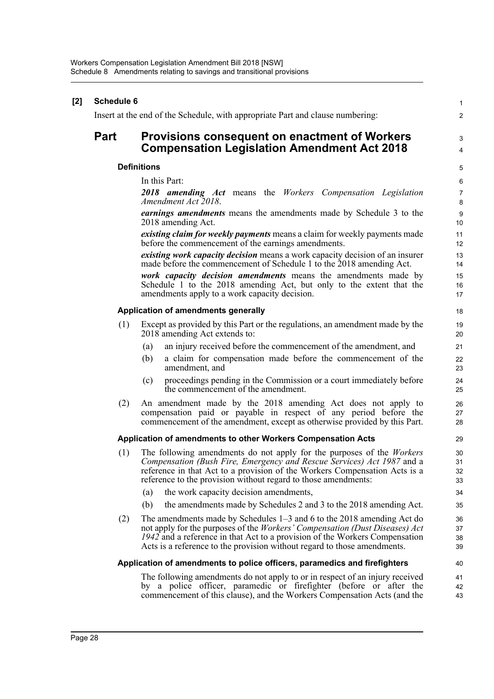| [2] | Schedule 6  |                                                                                                                                                                                                                                                                                                                           | $\mathbf{1}$         |
|-----|-------------|---------------------------------------------------------------------------------------------------------------------------------------------------------------------------------------------------------------------------------------------------------------------------------------------------------------------------|----------------------|
|     |             | Insert at the end of the Schedule, with appropriate Part and clause numbering:                                                                                                                                                                                                                                            | $\overline{2}$       |
|     | <b>Part</b> | <b>Provisions consequent on enactment of Workers</b><br><b>Compensation Legislation Amendment Act 2018</b>                                                                                                                                                                                                                | 3<br>$\overline{4}$  |
|     |             | <b>Definitions</b>                                                                                                                                                                                                                                                                                                        | 5                    |
|     |             | In this Part:                                                                                                                                                                                                                                                                                                             | $\,6\,$              |
|     |             | 2018 amending Act means the Workers Compensation Legislation<br>Amendment Act 2018.                                                                                                                                                                                                                                       | $\overline{7}$<br>8  |
|     |             | <i>earnings amendments</i> means the amendments made by Schedule 3 to the<br>2018 amending Act.                                                                                                                                                                                                                           | 9<br>10              |
|     |             | existing claim for weekly payments means a claim for weekly payments made<br>before the commencement of the earnings amendments.                                                                                                                                                                                          | 11<br>12             |
|     |             | existing work capacity decision means a work capacity decision of an insurer<br>made before the commencement of Schedule 1 to the 2018 amending Act.                                                                                                                                                                      | 13<br>14             |
|     |             | work capacity decision amendments means the amendments made by<br>Schedule 1 to the 2018 amending Act, but only to the extent that the<br>amendments apply to a work capacity decision.                                                                                                                                   | 15<br>16<br>17       |
|     |             | Application of amendments generally                                                                                                                                                                                                                                                                                       | 18                   |
|     | (1)         | Except as provided by this Part or the regulations, an amendment made by the<br>2018 amending Act extends to:                                                                                                                                                                                                             | 19<br>20             |
|     |             | an injury received before the commencement of the amendment, and<br>(a)                                                                                                                                                                                                                                                   | 21                   |
|     |             | (b)<br>a claim for compensation made before the commencement of the<br>amendment, and                                                                                                                                                                                                                                     | 22<br>23             |
|     |             | proceedings pending in the Commission or a court immediately before<br>(c)<br>the commencement of the amendment.                                                                                                                                                                                                          | 24<br>25             |
|     | (2)         | An amendment made by the 2018 amending Act does not apply to<br>compensation paid or payable in respect of any period before the<br>commencement of the amendment, except as otherwise provided by this Part.                                                                                                             | 26<br>27<br>28       |
|     |             | Application of amendments to other Workers Compensation Acts                                                                                                                                                                                                                                                              | 29                   |
|     | (1)         | The following amendments do not apply for the purposes of the <i>Workers</i><br>Compensation (Bush Fire, Emergency and Rescue Services) Act 1987 and a<br>reference in that Act to a provision of the Workers Compensation Acts is a<br>reference to the provision without regard to those amendments:                    | 30<br>31<br>32<br>33 |
|     |             | the work capacity decision amendments,<br>(a)                                                                                                                                                                                                                                                                             | 34                   |
|     |             | the amendments made by Schedules 2 and 3 to the 2018 amending Act.<br>(b)                                                                                                                                                                                                                                                 | 35                   |
|     | (2)         | The amendments made by Schedules $1-3$ and 6 to the 2018 amending Act do<br>not apply for the purposes of the <i>Workers' Compensation (Dust Diseases) Act</i><br>1942 and a reference in that Act to a provision of the Workers Compensation<br>Acts is a reference to the provision without regard to those amendments. | 36<br>37<br>38<br>39 |
|     |             | Application of amendments to police officers, paramedics and firefighters                                                                                                                                                                                                                                                 | 40                   |
|     |             | The following amendments do not apply to or in respect of an injury received<br>by a police officer, paramedic or firefighter (before or after the<br>commencement of this clause), and the Workers Compensation Acts (and the                                                                                            | 41<br>42<br>43       |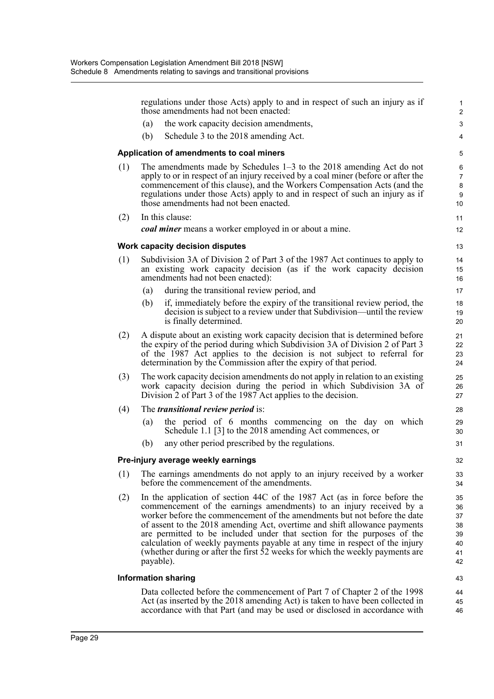|                            | regulations under those Acts) apply to and in respect of such an injury as if<br>those amendments had not been enacted:                                                                                                                                                                                                                                                                                                                                                                                                                                           |                                                                                                                                                                                                                                          | $\mathbf{1}$<br>$\overline{2}$               |
|----------------------------|-------------------------------------------------------------------------------------------------------------------------------------------------------------------------------------------------------------------------------------------------------------------------------------------------------------------------------------------------------------------------------------------------------------------------------------------------------------------------------------------------------------------------------------------------------------------|------------------------------------------------------------------------------------------------------------------------------------------------------------------------------------------------------------------------------------------|----------------------------------------------|
|                            | (a)                                                                                                                                                                                                                                                                                                                                                                                                                                                                                                                                                               | the work capacity decision amendments,                                                                                                                                                                                                   | 3                                            |
|                            | (b)                                                                                                                                                                                                                                                                                                                                                                                                                                                                                                                                                               | Schedule 3 to the 2018 amending Act.                                                                                                                                                                                                     | 4                                            |
|                            |                                                                                                                                                                                                                                                                                                                                                                                                                                                                                                                                                                   | Application of amendments to coal miners                                                                                                                                                                                                 | 5                                            |
| (1)                        | The amendments made by Schedules $1-3$ to the 2018 amending Act do not<br>apply to or in respect of an injury received by a coal miner (before or after the<br>commencement of this clause), and the Workers Compensation Acts (and the<br>regulations under those Acts) apply to and in respect of such an injury as if<br>those amendments had not been enacted.                                                                                                                                                                                                |                                                                                                                                                                                                                                          | 6<br>$\overline{7}$<br>8<br>9<br>10          |
| (2)                        |                                                                                                                                                                                                                                                                                                                                                                                                                                                                                                                                                                   | In this clause:                                                                                                                                                                                                                          | 11                                           |
|                            |                                                                                                                                                                                                                                                                                                                                                                                                                                                                                                                                                                   | <i>coal miner</i> means a worker employed in or about a mine.                                                                                                                                                                            | 12                                           |
|                            |                                                                                                                                                                                                                                                                                                                                                                                                                                                                                                                                                                   | Work capacity decision disputes                                                                                                                                                                                                          | 13                                           |
| (1)                        |                                                                                                                                                                                                                                                                                                                                                                                                                                                                                                                                                                   | Subdivision 3A of Division 2 of Part 3 of the 1987 Act continues to apply to<br>an existing work capacity decision (as if the work capacity decision<br>amendments had not been enacted):                                                | 14<br>15<br>16                               |
|                            | (a)                                                                                                                                                                                                                                                                                                                                                                                                                                                                                                                                                               | during the transitional review period, and                                                                                                                                                                                               | 17                                           |
|                            | (b)                                                                                                                                                                                                                                                                                                                                                                                                                                                                                                                                                               | if, immediately before the expiry of the transitional review period, the<br>decision is subject to a review under that Subdivision—until the review<br>is finally determined.                                                            | 18<br>19<br>20                               |
| (2)                        | A dispute about an existing work capacity decision that is determined before<br>the expiry of the period during which Subdivision 3A of Division 2 of Part 3<br>of the 1987 Act applies to the decision is not subject to referral for<br>determination by the Commission after the expiry of that period.                                                                                                                                                                                                                                                        |                                                                                                                                                                                                                                          | 21<br>22<br>23<br>24                         |
| (3)                        | The work capacity decision amendments do not apply in relation to an existing<br>work capacity decision during the period in which Subdivision 3A of<br>Division 2 of Part 3 of the 1987 Act applies to the decision.                                                                                                                                                                                                                                                                                                                                             |                                                                                                                                                                                                                                          | 25<br>26<br>27                               |
| (4)                        | The <i>transitional review period</i> is:                                                                                                                                                                                                                                                                                                                                                                                                                                                                                                                         |                                                                                                                                                                                                                                          | 28                                           |
|                            | (a)                                                                                                                                                                                                                                                                                                                                                                                                                                                                                                                                                               | the period of 6 months commencing on the day on which<br>Schedule 1.1 [3] to the 2018 amending Act commences, or                                                                                                                         | 29<br>30                                     |
|                            | (b)                                                                                                                                                                                                                                                                                                                                                                                                                                                                                                                                                               | any other period prescribed by the regulations.                                                                                                                                                                                          | 31                                           |
|                            |                                                                                                                                                                                                                                                                                                                                                                                                                                                                                                                                                                   | Pre-injury average weekly earnings                                                                                                                                                                                                       | 32                                           |
| (1)                        |                                                                                                                                                                                                                                                                                                                                                                                                                                                                                                                                                                   | The earnings amendments do not apply to an injury received by a worker<br>before the commencement of the amendments.                                                                                                                     | 33<br>34                                     |
| (2)                        | In the application of section 44C of the 1987 Act (as in force before the<br>commencement of the earnings amendments) to an injury received by a<br>worker before the commencement of the amendments but not before the date<br>of assent to the 2018 amending Act, overtime and shift allowance payments<br>are permitted to be included under that section for the purposes of the<br>calculation of weekly payments payable at any time in respect of the injury<br>(whether during or after the first 52 weeks for which the weekly payments are<br>payable). |                                                                                                                                                                                                                                          | 35<br>36<br>37<br>38<br>39<br>40<br>41<br>42 |
| <b>Information sharing</b> |                                                                                                                                                                                                                                                                                                                                                                                                                                                                                                                                                                   |                                                                                                                                                                                                                                          | 43                                           |
|                            |                                                                                                                                                                                                                                                                                                                                                                                                                                                                                                                                                                   | Data collected before the commencement of Part 7 of Chapter 2 of the 1998<br>Act (as inserted by the 2018 amending Act) is taken to have been collected in<br>accordance with that Part (and may be used or disclosed in accordance with | 44<br>45<br>46                               |